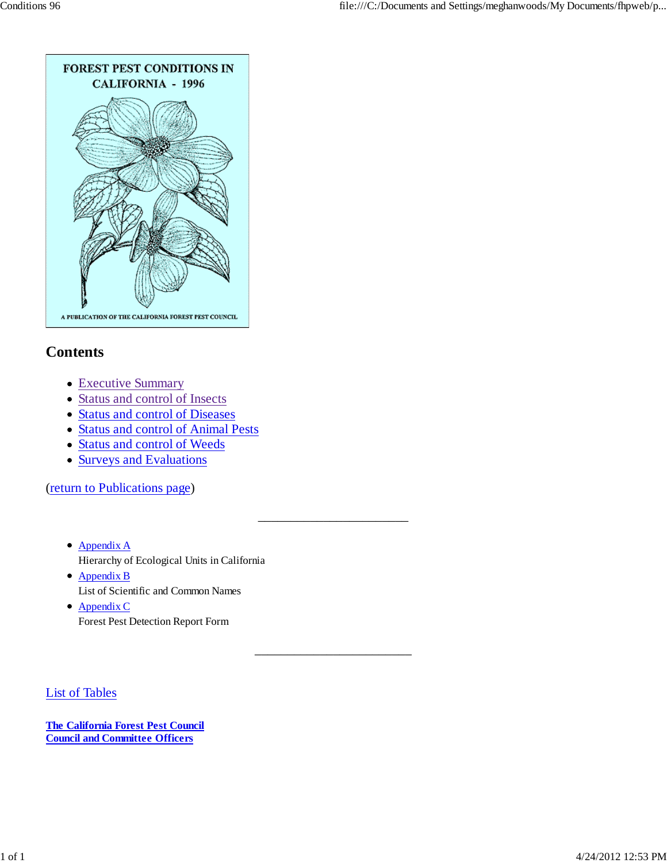

# **Contents**

- Executive Summary
- Status and control of Insects
- Status and control of Diseases
- Status and control of Animal Pests
- Status and control of Weeds
- Surveys and Evaluations

(return to Publications page)

Appendix A Hierarchy of Ecological Units in California

\_\_\_\_\_\_\_\_\_\_\_\_\_\_\_\_\_\_\_\_\_\_\_

\_\_\_\_\_\_\_\_\_\_\_\_\_\_\_\_\_\_\_\_\_\_\_\_

- Appendix B List of Scientific and Common Names
- Appendix C Forest Pest Detection Report Form

List of Tables

**The California Forest Pest Council Council and Committee Officers**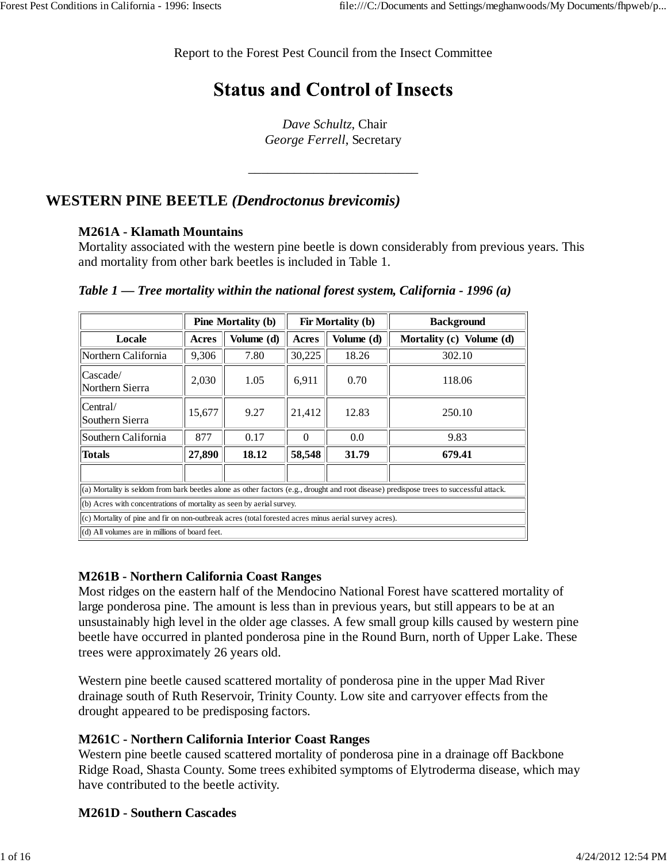Report to the Forest Pest Council from the Insect Committee

# **Status and Control of Insects**

*Dave Schultz*, Chair *George Ferrell*, Secretary

\_\_\_\_\_\_\_\_\_\_\_\_\_\_\_\_\_\_\_\_\_\_\_\_\_\_

## **WESTERN PINE BEETLE** *(Dendroctonus brevicomis)*

#### **M261A - Klamath Mountains**

Mortality associated with the western pine beetle is down considerably from previous years. This and mortality from other bark beetles is included in Table 1.

|                                                                                                                                          | <b>Pine Mortality (b)</b><br>Fir Mortality (b)<br><b>Background</b> |                                   |        |                          |        |  |  |  |  |  |
|------------------------------------------------------------------------------------------------------------------------------------------|---------------------------------------------------------------------|-----------------------------------|--------|--------------------------|--------|--|--|--|--|--|
| Locale                                                                                                                                   | Acres                                                               | Volume (d)                        | Acres  | Mortality (c) Volume (d) |        |  |  |  |  |  |
| Northern California                                                                                                                      | 9,306                                                               | 30,225<br>18.26<br>7.80<br>302.10 |        |                          |        |  |  |  |  |  |
| Cascade/<br>2,030<br>1.05<br>6,911<br>0.70<br>118.06<br>Northern Sierra                                                                  |                                                                     |                                   |        |                          |        |  |  |  |  |  |
| Central/<br>15,677<br>9.27<br>21,412<br>12.83<br>250.10<br>Southern Sierra                                                               |                                                                     |                                   |        |                          |        |  |  |  |  |  |
| Southern California                                                                                                                      | 877<br>0.17<br>0.0<br>$\Omega$<br>9.83                              |                                   |        |                          |        |  |  |  |  |  |
| <b>Totals</b>                                                                                                                            | 27,890                                                              | 18.12                             | 58,548 | 31.79                    | 679.41 |  |  |  |  |  |
|                                                                                                                                          |                                                                     |                                   |        |                          |        |  |  |  |  |  |
| (a) Mortality is seldom from bark beetles alone as other factors (e.g., drought and root disease) predispose trees to successful attack. |                                                                     |                                   |        |                          |        |  |  |  |  |  |
| (b) Acres with concentrations of mortality as seen by aerial survey.                                                                     |                                                                     |                                   |        |                          |        |  |  |  |  |  |
| (c) Mortality of pine and fir on non-outbreak acres (total forested acres minus aerial survey acres).                                    |                                                                     |                                   |        |                          |        |  |  |  |  |  |
| (d) All volumes are in millions of board feet.                                                                                           |                                                                     |                                   |        |                          |        |  |  |  |  |  |

*Table 1 — Tree mortality within the national forest system, California - 1996 (a)*

## **M261B - Northern California Coast Ranges**

Most ridges on the eastern half of the Mendocino National Forest have scattered mortality of large ponderosa pine. The amount is less than in previous years, but still appears to be at an unsustainably high level in the older age classes. A few small group kills caused by western pine beetle have occurred in planted ponderosa pine in the Round Burn, north of Upper Lake. These trees were approximately 26 years old.

Western pine beetle caused scattered mortality of ponderosa pine in the upper Mad River drainage south of Ruth Reservoir, Trinity County. Low site and carryover effects from the drought appeared to be predisposing factors.

## **M261C - Northern California Interior Coast Ranges**

Western pine beetle caused scattered mortality of ponderosa pine in a drainage off Backbone Ridge Road, Shasta County. Some trees exhibited symptoms of Elytroderma disease, which may have contributed to the beetle activity.

## **M261D - Southern Cascades**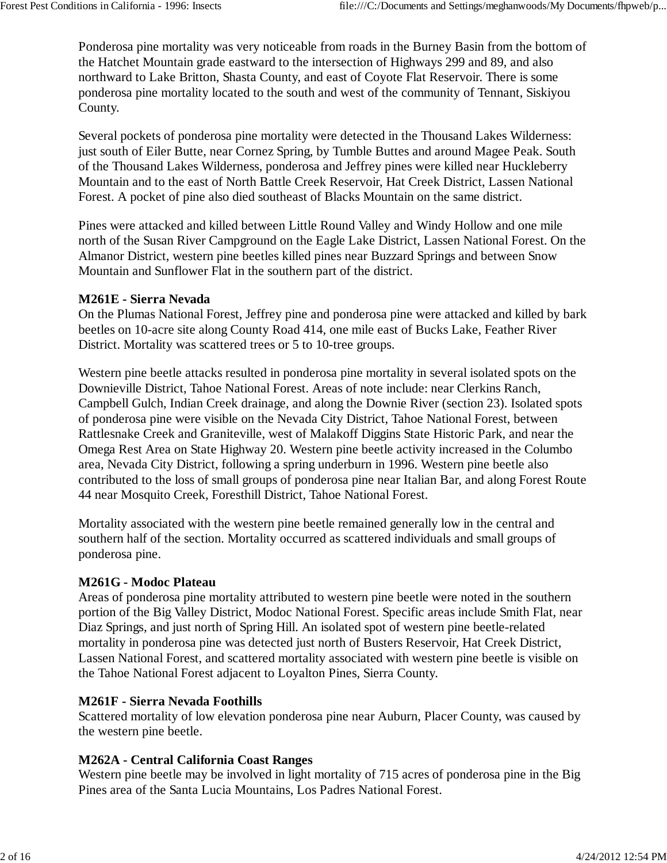Ponderosa pine mortality was very noticeable from roads in the Burney Basin from the bottom of the Hatchet Mountain grade eastward to the intersection of Highways 299 and 89, and also northward to Lake Britton, Shasta County, and east of Coyote Flat Reservoir. There is some ponderosa pine mortality located to the south and west of the community of Tennant, Siskiyou County.

Several pockets of ponderosa pine mortality were detected in the Thousand Lakes Wilderness: just south of Eiler Butte, near Cornez Spring, by Tumble Buttes and around Magee Peak. South of the Thousand Lakes Wilderness, ponderosa and Jeffrey pines were killed near Huckleberry Mountain and to the east of North Battle Creek Reservoir, Hat Creek District, Lassen National Forest. A pocket of pine also died southeast of Blacks Mountain on the same district.

Pines were attacked and killed between Little Round Valley and Windy Hollow and one mile north of the Susan River Campground on the Eagle Lake District, Lassen National Forest. On the Almanor District, western pine beetles killed pines near Buzzard Springs and between Snow Mountain and Sunflower Flat in the southern part of the district.

#### **M261E - Sierra Nevada**

On the Plumas National Forest, Jeffrey pine and ponderosa pine were attacked and killed by bark beetles on 10-acre site along County Road 414, one mile east of Bucks Lake, Feather River District. Mortality was scattered trees or 5 to 10-tree groups.

Western pine beetle attacks resulted in ponderosa pine mortality in several isolated spots on the Downieville District, Tahoe National Forest. Areas of note include: near Clerkins Ranch, Campbell Gulch, Indian Creek drainage, and along the Downie River (section 23). Isolated spots of ponderosa pine were visible on the Nevada City District, Tahoe National Forest, between Rattlesnake Creek and Graniteville, west of Malakoff Diggins State Historic Park, and near the Omega Rest Area on State Highway 20. Western pine beetle activity increased in the Columbo area, Nevada City District, following a spring underburn in 1996. Western pine beetle also contributed to the loss of small groups of ponderosa pine near Italian Bar, and along Forest Route 44 near Mosquito Creek, Foresthill District, Tahoe National Forest.

Mortality associated with the western pine beetle remained generally low in the central and southern half of the section. Mortality occurred as scattered individuals and small groups of ponderosa pine.

#### **M261G - Modoc Plateau**

Areas of ponderosa pine mortality attributed to western pine beetle were noted in the southern portion of the Big Valley District, Modoc National Forest. Specific areas include Smith Flat, near Diaz Springs, and just north of Spring Hill. An isolated spot of western pine beetle-related mortality in ponderosa pine was detected just north of Busters Reservoir, Hat Creek District, Lassen National Forest, and scattered mortality associated with western pine beetle is visible on the Tahoe National Forest adjacent to Loyalton Pines, Sierra County.

#### **M261F - Sierra Nevada Foothills**

Scattered mortality of low elevation ponderosa pine near Auburn, Placer County, was caused by the western pine beetle.

#### **M262A - Central California Coast Ranges**

Western pine beetle may be involved in light mortality of 715 acres of ponderosa pine in the Big Pines area of the Santa Lucia Mountains, Los Padres National Forest.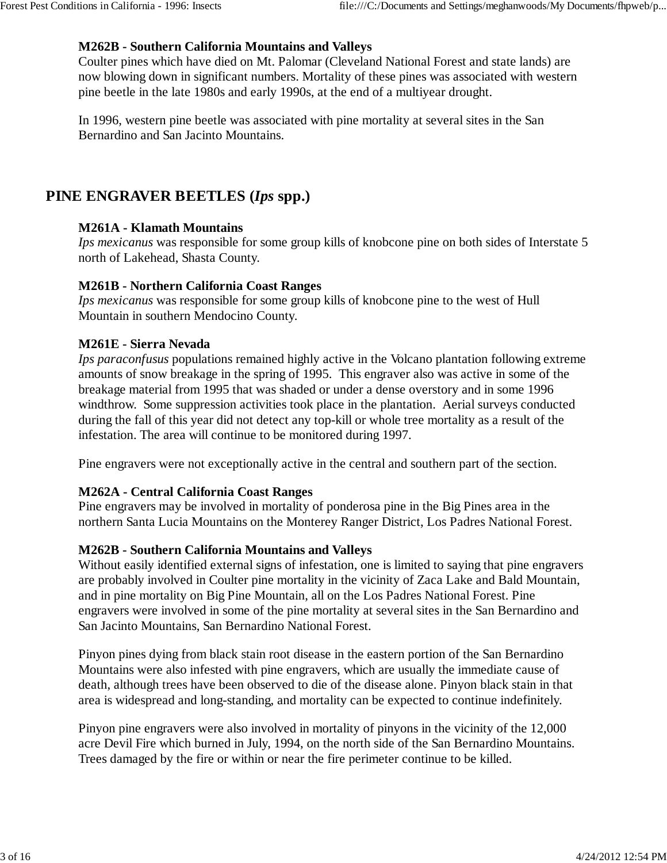#### **M262B - Southern California Mountains and Valleys**

Coulter pines which have died on Mt. Palomar (Cleveland National Forest and state lands) are now blowing down in significant numbers. Mortality of these pines was associated with western pine beetle in the late 1980s and early 1990s, at the end of a multiyear drought.

In 1996, western pine beetle was associated with pine mortality at several sites in the San Bernardino and San Jacinto Mountains.

## **PINE ENGRAVER BEETLES (***Ips* **spp.)**

#### **M261A - Klamath Mountains**

*Ips mexicanus* was responsible for some group kills of knobcone pine on both sides of Interstate 5 north of Lakehead, Shasta County.

#### **M261B - Northern California Coast Ranges**

*Ips mexicanus* was responsible for some group kills of knobcone pine to the west of Hull Mountain in southern Mendocino County.

#### **M261E - Sierra Nevada**

*Ips paraconfusus* populations remained highly active in the Volcano plantation following extreme amounts of snow breakage in the spring of 1995. This engraver also was active in some of the breakage material from 1995 that was shaded or under a dense overstory and in some 1996 windthrow. Some suppression activities took place in the plantation. Aerial surveys conducted during the fall of this year did not detect any top-kill or whole tree mortality as a result of the infestation. The area will continue to be monitored during 1997.

Pine engravers were not exceptionally active in the central and southern part of the section.

#### **M262A - Central California Coast Ranges**

Pine engravers may be involved in mortality of ponderosa pine in the Big Pines area in the northern Santa Lucia Mountains on the Monterey Ranger District, Los Padres National Forest.

#### **M262B - Southern California Mountains and Valleys**

Without easily identified external signs of infestation, one is limited to saying that pine engravers are probably involved in Coulter pine mortality in the vicinity of Zaca Lake and Bald Mountain, and in pine mortality on Big Pine Mountain, all on the Los Padres National Forest. Pine engravers were involved in some of the pine mortality at several sites in the San Bernardino and San Jacinto Mountains, San Bernardino National Forest.

Pinyon pines dying from black stain root disease in the eastern portion of the San Bernardino Mountains were also infested with pine engravers, which are usually the immediate cause of death, although trees have been observed to die of the disease alone. Pinyon black stain in that area is widespread and long-standing, and mortality can be expected to continue indefinitely.

Pinyon pine engravers were also involved in mortality of pinyons in the vicinity of the 12,000 acre Devil Fire which burned in July, 1994, on the north side of the San Bernardino Mountains. Trees damaged by the fire or within or near the fire perimeter continue to be killed.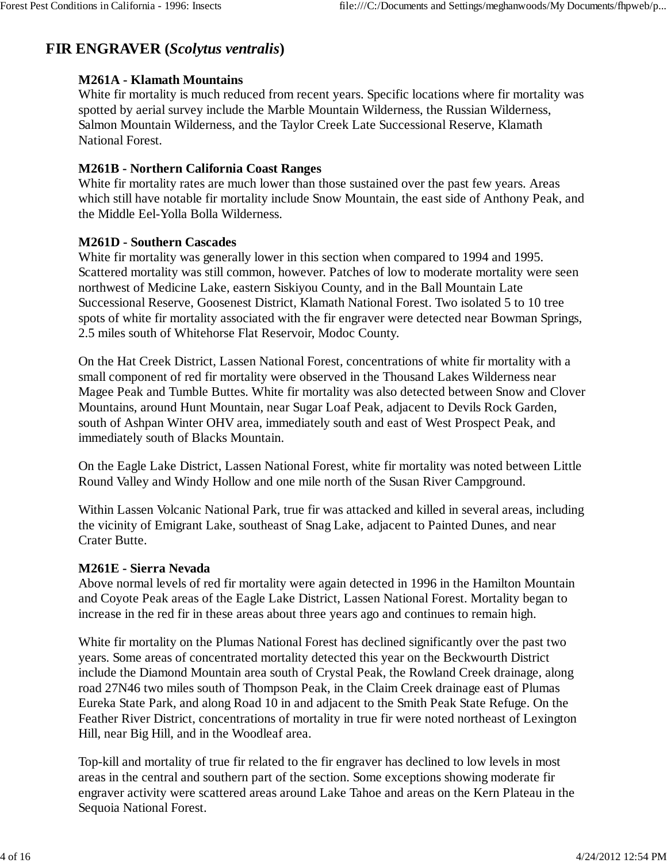# **FIR ENGRAVER (***Scolytus ventralis***)**

### **M261A - Klamath Mountains**

White fir mortality is much reduced from recent years. Specific locations where fir mortality was spotted by aerial survey include the Marble Mountain Wilderness, the Russian Wilderness, Salmon Mountain Wilderness, and the Taylor Creek Late Successional Reserve, Klamath National Forest.

### **M261B - Northern California Coast Ranges**

White fir mortality rates are much lower than those sustained over the past few years. Areas which still have notable fir mortality include Snow Mountain, the east side of Anthony Peak, and the Middle Eel-Yolla Bolla Wilderness.

#### **M261D - Southern Cascades**

White fir mortality was generally lower in this section when compared to 1994 and 1995. Scattered mortality was still common, however. Patches of low to moderate mortality were seen northwest of Medicine Lake, eastern Siskiyou County, and in the Ball Mountain Late Successional Reserve, Goosenest District, Klamath National Forest. Two isolated 5 to 10 tree spots of white fir mortality associated with the fir engraver were detected near Bowman Springs, 2.5 miles south of Whitehorse Flat Reservoir, Modoc County.

On the Hat Creek District, Lassen National Forest, concentrations of white fir mortality with a small component of red fir mortality were observed in the Thousand Lakes Wilderness near Magee Peak and Tumble Buttes. White fir mortality was also detected between Snow and Clover Mountains, around Hunt Mountain, near Sugar Loaf Peak, adjacent to Devils Rock Garden, south of Ashpan Winter OHV area, immediately south and east of West Prospect Peak, and immediately south of Blacks Mountain.

On the Eagle Lake District, Lassen National Forest, white fir mortality was noted between Little Round Valley and Windy Hollow and one mile north of the Susan River Campground.

Within Lassen Volcanic National Park, true fir was attacked and killed in several areas, including the vicinity of Emigrant Lake, southeast of Snag Lake, adjacent to Painted Dunes, and near Crater Butte.

#### **M261E - Sierra Nevada**

Above normal levels of red fir mortality were again detected in 1996 in the Hamilton Mountain and Coyote Peak areas of the Eagle Lake District, Lassen National Forest. Mortality began to increase in the red fir in these areas about three years ago and continues to remain high.

White fir mortality on the Plumas National Forest has declined significantly over the past two years. Some areas of concentrated mortality detected this year on the Beckwourth District include the Diamond Mountain area south of Crystal Peak, the Rowland Creek drainage, along road 27N46 two miles south of Thompson Peak, in the Claim Creek drainage east of Plumas Eureka State Park, and along Road 10 in and adjacent to the Smith Peak State Refuge. On the Feather River District, concentrations of mortality in true fir were noted northeast of Lexington Hill, near Big Hill, and in the Woodleaf area.

Top-kill and mortality of true fir related to the fir engraver has declined to low levels in most areas in the central and southern part of the section. Some exceptions showing moderate fir engraver activity were scattered areas around Lake Tahoe and areas on the Kern Plateau in the Sequoia National Forest.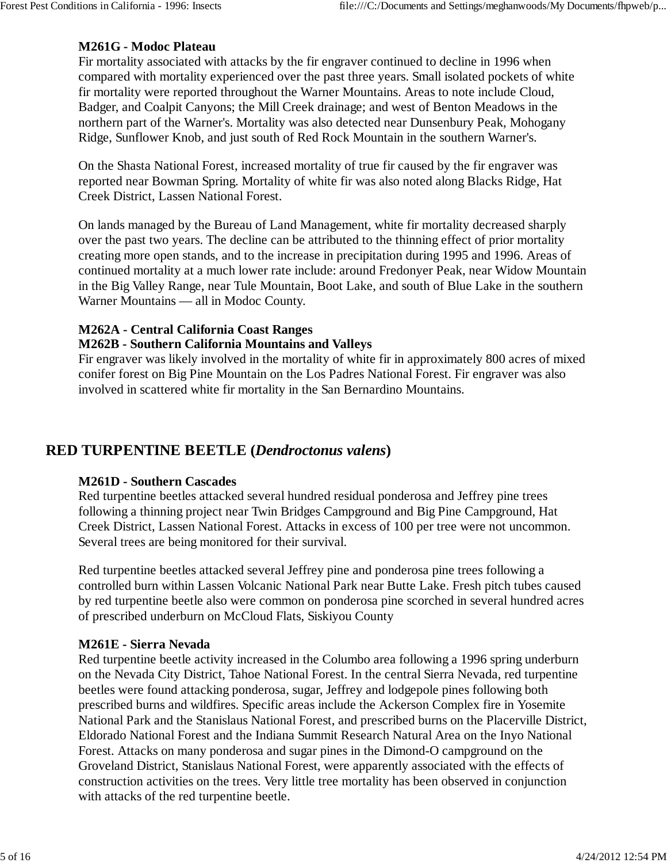## **M261G - Modoc Plateau**

Fir mortality associated with attacks by the fir engraver continued to decline in 1996 when compared with mortality experienced over the past three years. Small isolated pockets of white fir mortality were reported throughout the Warner Mountains. Areas to note include Cloud, Badger, and Coalpit Canyons; the Mill Creek drainage; and west of Benton Meadows in the northern part of the Warner's. Mortality was also detected near Dunsenbury Peak, Mohogany Ridge, Sunflower Knob, and just south of Red Rock Mountain in the southern Warner's.

On the Shasta National Forest, increased mortality of true fir caused by the fir engraver was reported near Bowman Spring. Mortality of white fir was also noted along Blacks Ridge, Hat Creek District, Lassen National Forest.

On lands managed by the Bureau of Land Management, white fir mortality decreased sharply over the past two years. The decline can be attributed to the thinning effect of prior mortality creating more open stands, and to the increase in precipitation during 1995 and 1996. Areas of continued mortality at a much lower rate include: around Fredonyer Peak, near Widow Mountain in the Big Valley Range, near Tule Mountain, Boot Lake, and south of Blue Lake in the southern Warner Mountains — all in Modoc County.

## **M262A - Central California Coast Ranges**

#### **M262B - Southern California Mountains and Valleys**

Fir engraver was likely involved in the mortality of white fir in approximately 800 acres of mixed conifer forest on Big Pine Mountain on the Los Padres National Forest. Fir engraver was also involved in scattered white fir mortality in the San Bernardino Mountains.

## **RED TURPENTINE BEETLE (***Dendroctonus valens***)**

#### **M261D - Southern Cascades**

Red turpentine beetles attacked several hundred residual ponderosa and Jeffrey pine trees following a thinning project near Twin Bridges Campground and Big Pine Campground, Hat Creek District, Lassen National Forest. Attacks in excess of 100 per tree were not uncommon. Several trees are being monitored for their survival.

Red turpentine beetles attacked several Jeffrey pine and ponderosa pine trees following a controlled burn within Lassen Volcanic National Park near Butte Lake. Fresh pitch tubes caused by red turpentine beetle also were common on ponderosa pine scorched in several hundred acres of prescribed underburn on McCloud Flats, Siskiyou County

#### **M261E - Sierra Nevada**

Red turpentine beetle activity increased in the Columbo area following a 1996 spring underburn on the Nevada City District, Tahoe National Forest. In the central Sierra Nevada, red turpentine beetles were found attacking ponderosa, sugar, Jeffrey and lodgepole pines following both prescribed burns and wildfires. Specific areas include the Ackerson Complex fire in Yosemite National Park and the Stanislaus National Forest, and prescribed burns on the Placerville District, Eldorado National Forest and the Indiana Summit Research Natural Area on the Inyo National Forest. Attacks on many ponderosa and sugar pines in the Dimond-O campground on the Groveland District, Stanislaus National Forest, were apparently associated with the effects of construction activities on the trees. Very little tree mortality has been observed in conjunction with attacks of the red turpentine beetle.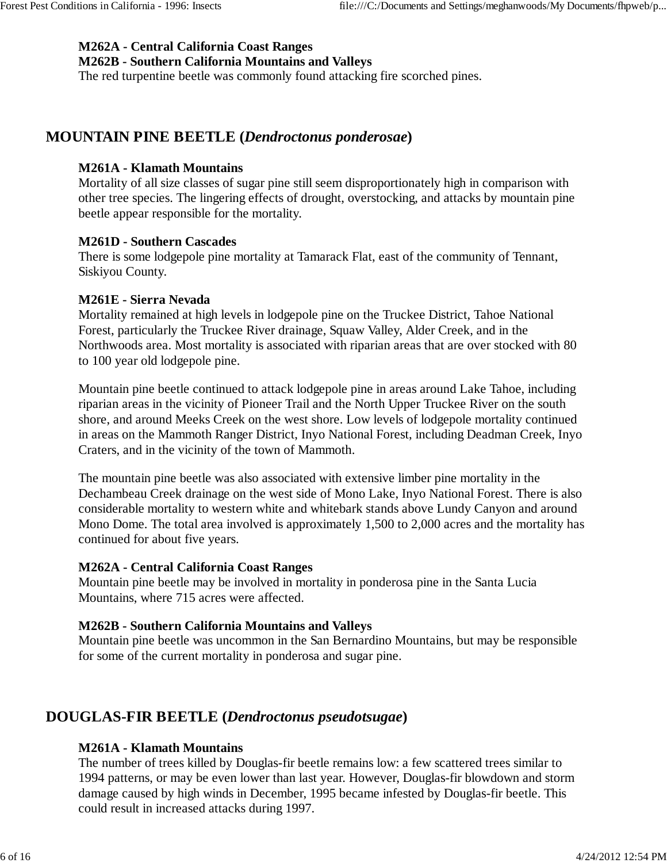## **M262A - Central California Coast Ranges**

**M262B - Southern California Mountains and Valleys**

The red turpentine beetle was commonly found attacking fire scorched pines.

## **MOUNTAIN PINE BEETLE (***Dendroctonus ponderosae***)**

#### **M261A - Klamath Mountains**

Mortality of all size classes of sugar pine still seem disproportionately high in comparison with other tree species. The lingering effects of drought, overstocking, and attacks by mountain pine beetle appear responsible for the mortality.

#### **M261D - Southern Cascades**

There is some lodgepole pine mortality at Tamarack Flat, east of the community of Tennant, Siskiyou County.

#### **M261E - Sierra Nevada**

Mortality remained at high levels in lodgepole pine on the Truckee District, Tahoe National Forest, particularly the Truckee River drainage, Squaw Valley, Alder Creek, and in the Northwoods area. Most mortality is associated with riparian areas that are over stocked with 80 to 100 year old lodgepole pine.

Mountain pine beetle continued to attack lodgepole pine in areas around Lake Tahoe, including riparian areas in the vicinity of Pioneer Trail and the North Upper Truckee River on the south shore, and around Meeks Creek on the west shore. Low levels of lodgepole mortality continued in areas on the Mammoth Ranger District, Inyo National Forest, including Deadman Creek, Inyo Craters, and in the vicinity of the town of Mammoth.

The mountain pine beetle was also associated with extensive limber pine mortality in the Dechambeau Creek drainage on the west side of Mono Lake, Inyo National Forest. There is also considerable mortality to western white and whitebark stands above Lundy Canyon and around Mono Dome. The total area involved is approximately 1,500 to 2,000 acres and the mortality has continued for about five years.

#### **M262A - Central California Coast Ranges**

Mountain pine beetle may be involved in mortality in ponderosa pine in the Santa Lucia Mountains, where 715 acres were affected.

#### **M262B - Southern California Mountains and Valleys**

Mountain pine beetle was uncommon in the San Bernardino Mountains, but may be responsible for some of the current mortality in ponderosa and sugar pine.

## **DOUGLAS-FIR BEETLE (***Dendroctonus pseudotsugae***)**

#### **M261A - Klamath Mountains**

The number of trees killed by Douglas-fir beetle remains low: a few scattered trees similar to 1994 patterns, or may be even lower than last year. However, Douglas-fir blowdown and storm damage caused by high winds in December, 1995 became infested by Douglas-fir beetle. This could result in increased attacks during 1997.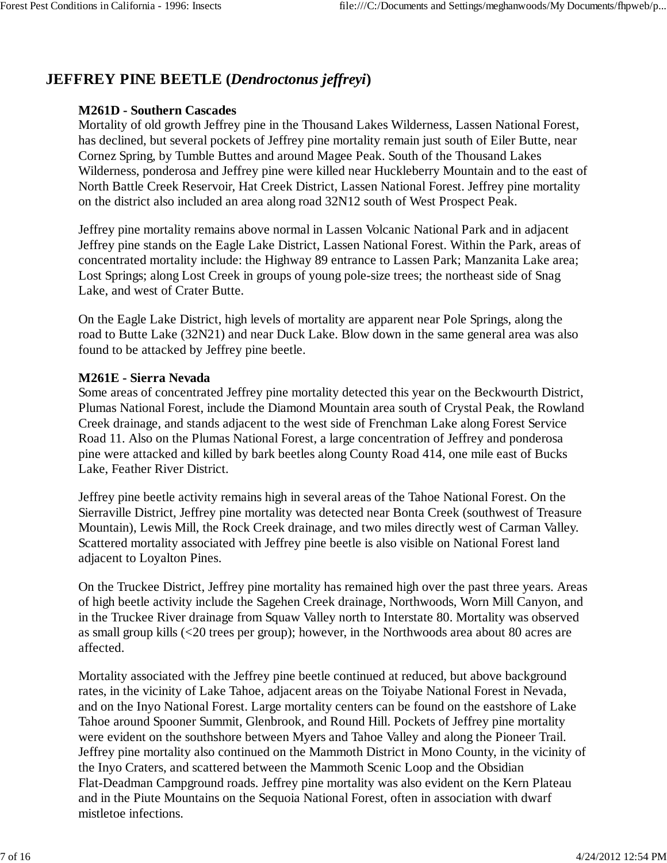# **JEFFREY PINE BEETLE (***Dendroctonus jeffreyi***)**

## **M261D - Southern Cascades**

Mortality of old growth Jeffrey pine in the Thousand Lakes Wilderness, Lassen National Forest, has declined, but several pockets of Jeffrey pine mortality remain just south of Eiler Butte, near Cornez Spring, by Tumble Buttes and around Magee Peak. South of the Thousand Lakes Wilderness, ponderosa and Jeffrey pine were killed near Huckleberry Mountain and to the east of North Battle Creek Reservoir, Hat Creek District, Lassen National Forest. Jeffrey pine mortality on the district also included an area along road 32N12 south of West Prospect Peak.

Jeffrey pine mortality remains above normal in Lassen Volcanic National Park and in adjacent Jeffrey pine stands on the Eagle Lake District, Lassen National Forest. Within the Park, areas of concentrated mortality include: the Highway 89 entrance to Lassen Park; Manzanita Lake area; Lost Springs; along Lost Creek in groups of young pole-size trees; the northeast side of Snag Lake, and west of Crater Butte.

On the Eagle Lake District, high levels of mortality are apparent near Pole Springs, along the road to Butte Lake (32N21) and near Duck Lake. Blow down in the same general area was also found to be attacked by Jeffrey pine beetle.

#### **M261E - Sierra Nevada**

Some areas of concentrated Jeffrey pine mortality detected this year on the Beckwourth District, Plumas National Forest, include the Diamond Mountain area south of Crystal Peak, the Rowland Creek drainage, and stands adjacent to the west side of Frenchman Lake along Forest Service Road 11. Also on the Plumas National Forest, a large concentration of Jeffrey and ponderosa pine were attacked and killed by bark beetles along County Road 414, one mile east of Bucks Lake, Feather River District.

Jeffrey pine beetle activity remains high in several areas of the Tahoe National Forest. On the Sierraville District, Jeffrey pine mortality was detected near Bonta Creek (southwest of Treasure Mountain), Lewis Mill, the Rock Creek drainage, and two miles directly west of Carman Valley. Scattered mortality associated with Jeffrey pine beetle is also visible on National Forest land adjacent to Loyalton Pines.

On the Truckee District, Jeffrey pine mortality has remained high over the past three years. Areas of high beetle activity include the Sagehen Creek drainage, Northwoods, Worn Mill Canyon, and in the Truckee River drainage from Squaw Valley north to Interstate 80. Mortality was observed as small group kills (<20 trees per group); however, in the Northwoods area about 80 acres are affected.

Mortality associated with the Jeffrey pine beetle continued at reduced, but above background rates, in the vicinity of Lake Tahoe, adjacent areas on the Toiyabe National Forest in Nevada, and on the Inyo National Forest. Large mortality centers can be found on the eastshore of Lake Tahoe around Spooner Summit, Glenbrook, and Round Hill. Pockets of Jeffrey pine mortality were evident on the southshore between Myers and Tahoe Valley and along the Pioneer Trail. Jeffrey pine mortality also continued on the Mammoth District in Mono County, in the vicinity of the Inyo Craters, and scattered between the Mammoth Scenic Loop and the Obsidian Flat-Deadman Campground roads. Jeffrey pine mortality was also evident on the Kern Plateau and in the Piute Mountains on the Sequoia National Forest, often in association with dwarf mistletoe infections.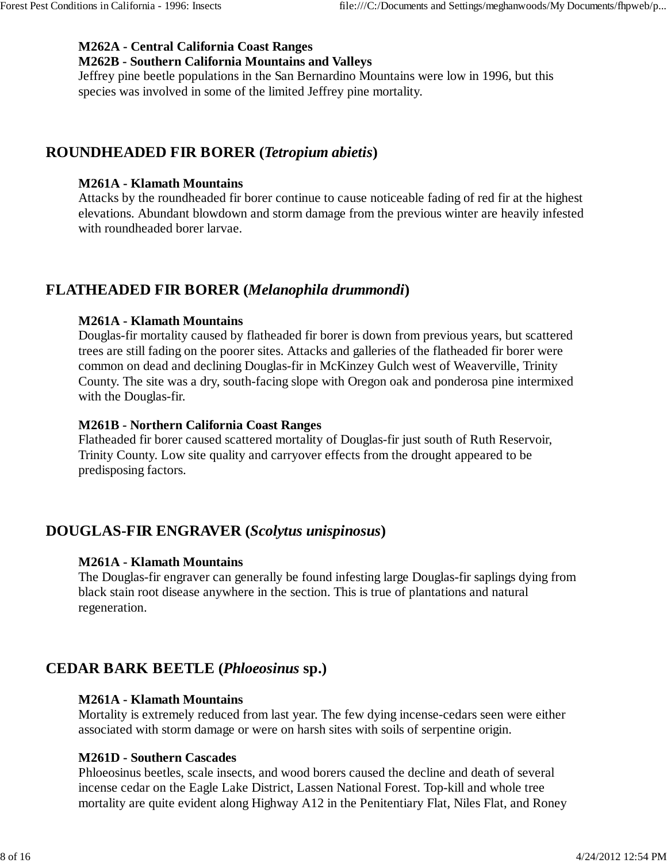### **M262A - Central California Coast Ranges**

#### **M262B - Southern California Mountains and Valleys**

Jeffrey pine beetle populations in the San Bernardino Mountains were low in 1996, but this species was involved in some of the limited Jeffrey pine mortality.

# **ROUNDHEADED FIR BORER (***Tetropium abietis***)**

## **M261A - Klamath Mountains**

Attacks by the roundheaded fir borer continue to cause noticeable fading of red fir at the highest elevations. Abundant blowdown and storm damage from the previous winter are heavily infested with roundheaded borer larvae.

# **FLATHEADED FIR BORER (***Melanophila drummondi***)**

## **M261A - Klamath Mountains**

Douglas-fir mortality caused by flatheaded fir borer is down from previous years, but scattered trees are still fading on the poorer sites. Attacks and galleries of the flatheaded fir borer were common on dead and declining Douglas-fir in McKinzey Gulch west of Weaverville, Trinity County. The site was a dry, south-facing slope with Oregon oak and ponderosa pine intermixed with the Douglas-fir.

### **M261B - Northern California Coast Ranges**

Flatheaded fir borer caused scattered mortality of Douglas-fir just south of Ruth Reservoir, Trinity County. Low site quality and carryover effects from the drought appeared to be predisposing factors.

# **DOUGLAS-FIR ENGRAVER (***Scolytus unispinosus***)**

#### **M261A - Klamath Mountains**

The Douglas-fir engraver can generally be found infesting large Douglas-fir saplings dying from black stain root disease anywhere in the section. This is true of plantations and natural regeneration.

# **CEDAR BARK BEETLE (***Phloeosinus* **sp.)**

#### **M261A - Klamath Mountains**

Mortality is extremely reduced from last year. The few dying incense-cedars seen were either associated with storm damage or were on harsh sites with soils of serpentine origin.

#### **M261D - Southern Cascades**

Phloeosinus beetles, scale insects, and wood borers caused the decline and death of several incense cedar on the Eagle Lake District, Lassen National Forest. Top-kill and whole tree mortality are quite evident along Highway A12 in the Penitentiary Flat, Niles Flat, and Roney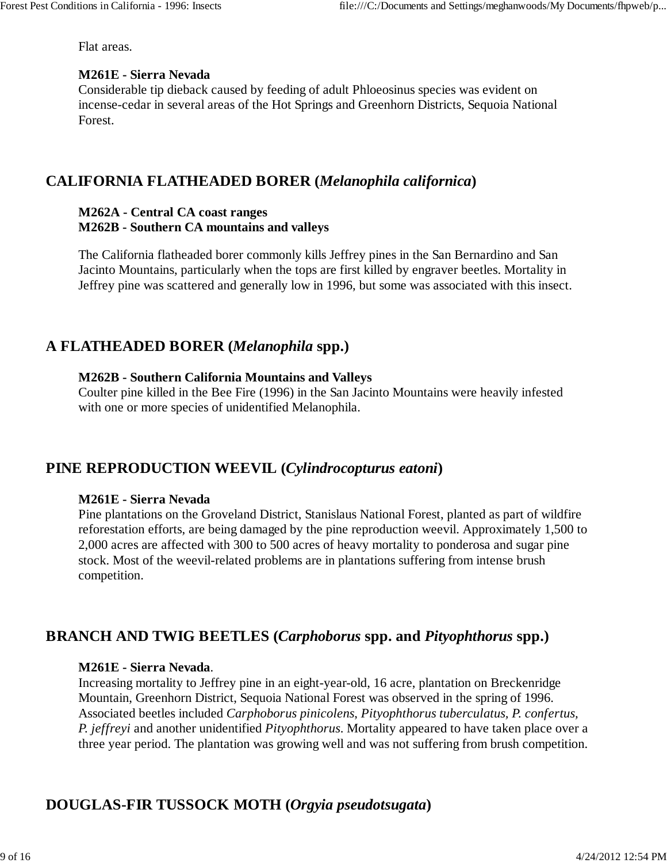Flat areas.

#### **M261E - Sierra Nevada**

Considerable tip dieback caused by feeding of adult Phloeosinus species was evident on incense-cedar in several areas of the Hot Springs and Greenhorn Districts, Sequoia National Forest.

## **CALIFORNIA FLATHEADED BORER (***Melanophila californica***)**

#### **M262A - Central CA coast ranges M262B - Southern CA mountains and valleys**

The California flatheaded borer commonly kills Jeffrey pines in the San Bernardino and San Jacinto Mountains, particularly when the tops are first killed by engraver beetles. Mortality in Jeffrey pine was scattered and generally low in 1996, but some was associated with this insect.

## **A FLATHEADED BORER (***Melanophila* **spp.)**

#### **M262B - Southern California Mountains and Valleys**

Coulter pine killed in the Bee Fire (1996) in the San Jacinto Mountains were heavily infested with one or more species of unidentified Melanophila.

## **PINE REPRODUCTION WEEVIL (***Cylindrocopturus eatoni***)**

#### **M261E - Sierra Nevada**

Pine plantations on the Groveland District, Stanislaus National Forest, planted as part of wildfire reforestation efforts, are being damaged by the pine reproduction weevil. Approximately 1,500 to 2,000 acres are affected with 300 to 500 acres of heavy mortality to ponderosa and sugar pine stock. Most of the weevil-related problems are in plantations suffering from intense brush competition.

## **BRANCH AND TWIG BEETLES (***Carphoborus* **spp. and** *Pityophthorus* **spp.)**

#### **M261E - Sierra Nevada**.

Increasing mortality to Jeffrey pine in an eight-year-old, 16 acre, plantation on Breckenridge Mountain, Greenhorn District, Sequoia National Forest was observed in the spring of 1996. Associated beetles included *Carphoborus pinicolens*, *Pityophthorus tuberculatus, P. confertus, P. jeffreyi* and another unidentified *Pityophthorus*. Mortality appeared to have taken place over a three year period. The plantation was growing well and was not suffering from brush competition.

# **DOUGLAS-FIR TUSSOCK MOTH (***Orgyia pseudotsugata***)**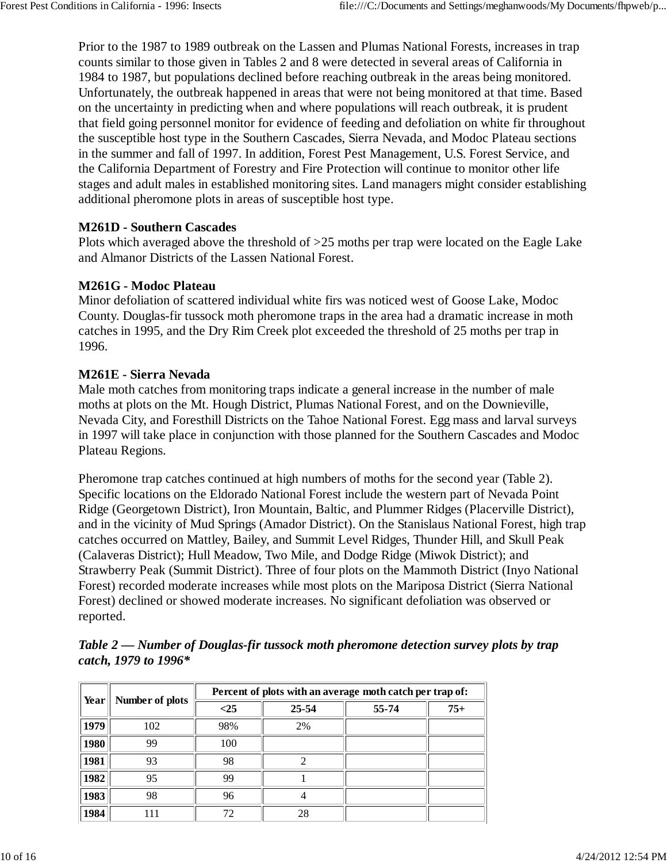Prior to the 1987 to 1989 outbreak on the Lassen and Plumas National Forests, increases in trap counts similar to those given in Tables 2 and 8 were detected in several areas of California in 1984 to 1987, but populations declined before reaching outbreak in the areas being monitored. Unfortunately, the outbreak happened in areas that were not being monitored at that time. Based on the uncertainty in predicting when and where populations will reach outbreak, it is prudent that field going personnel monitor for evidence of feeding and defoliation on white fir throughout the susceptible host type in the Southern Cascades, Sierra Nevada, and Modoc Plateau sections in the summer and fall of 1997. In addition, Forest Pest Management, U.S. Forest Service, and the California Department of Forestry and Fire Protection will continue to monitor other life stages and adult males in established monitoring sites. Land managers might consider establishing additional pheromone plots in areas of susceptible host type.

#### **M261D - Southern Cascades**

Plots which averaged above the threshold of >25 moths per trap were located on the Eagle Lake and Almanor Districts of the Lassen National Forest.

#### **M261G - Modoc Plateau**

Minor defoliation of scattered individual white firs was noticed west of Goose Lake, Modoc County. Douglas-fir tussock moth pheromone traps in the area had a dramatic increase in moth catches in 1995, and the Dry Rim Creek plot exceeded the threshold of 25 moths per trap in 1996.

#### **M261E - Sierra Nevada**

Male moth catches from monitoring traps indicate a general increase in the number of male moths at plots on the Mt. Hough District, Plumas National Forest, and on the Downieville, Nevada City, and Foresthill Districts on the Tahoe National Forest. Egg mass and larval surveys in 1997 will take place in conjunction with those planned for the Southern Cascades and Modoc Plateau Regions.

Pheromone trap catches continued at high numbers of moths for the second year (Table 2). Specific locations on the Eldorado National Forest include the western part of Nevada Point Ridge (Georgetown District), Iron Mountain, Baltic, and Plummer Ridges (Placerville District), and in the vicinity of Mud Springs (Amador District). On the Stanislaus National Forest, high trap catches occurred on Mattley, Bailey, and Summit Level Ridges, Thunder Hill, and Skull Peak (Calaveras District); Hull Meadow, Two Mile, and Dodge Ridge (Miwok District); and Strawberry Peak (Summit District). Three of four plots on the Mammoth District (Inyo National Forest) recorded moderate increases while most plots on the Mariposa District (Sierra National Forest) declined or showed moderate increases. No significant defoliation was observed or reported.

|      |                 | Percent of plots with an average moth catch per trap of: |           |       |       |  |  |  |  |
|------|-----------------|----------------------------------------------------------|-----------|-------|-------|--|--|--|--|
| Year | Number of plots | $\leq$ 25                                                | $25 - 54$ | 55-74 | $75+$ |  |  |  |  |
| 1979 | 102             | 98%                                                      | 2%        |       |       |  |  |  |  |
| 1980 | 99              | 100                                                      |           |       |       |  |  |  |  |
| 1981 | 93              | 98                                                       |           |       |       |  |  |  |  |
| 1982 | 95              | 99                                                       |           |       |       |  |  |  |  |
| 1983 | 98              | 96                                                       |           |       |       |  |  |  |  |
| 1984 |                 | 72                                                       | 28        |       |       |  |  |  |  |

*Table 2 — Number of Douglas-fir tussock moth pheromone detection survey plots by trap catch, 1979 to 1996\**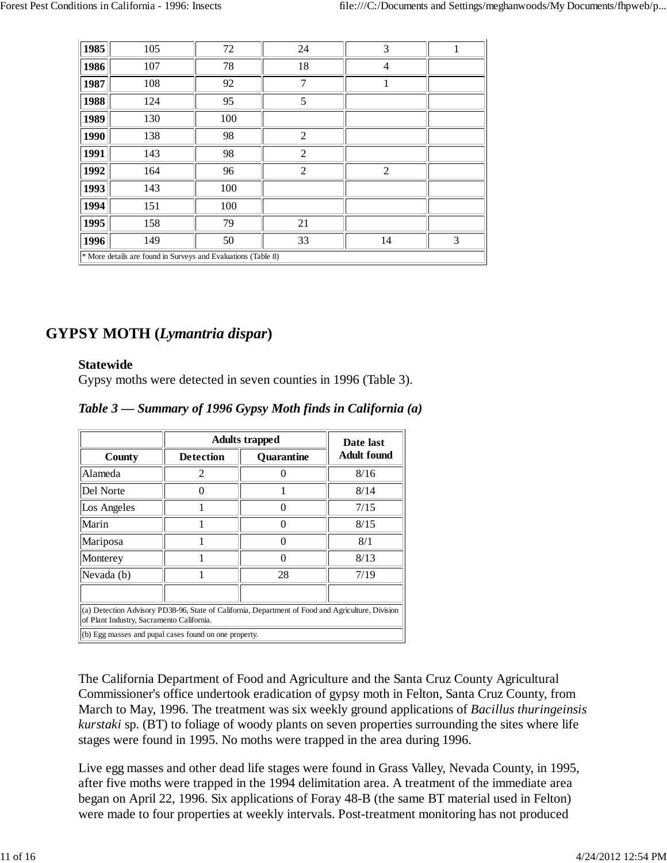| 1985               | 105                                                           | 72  | 24             | 3              | 1 |  |  |  |  |
|--------------------|---------------------------------------------------------------|-----|----------------|----------------|---|--|--|--|--|
| 1986               | 107                                                           | 78  | 18             | $\overline{4}$ |   |  |  |  |  |
| 1987               | 108                                                           | 92  | 7              |                |   |  |  |  |  |
| 1988               | 124                                                           | 95  | 5              |                |   |  |  |  |  |
| 1989<br>130<br>100 |                                                               |     |                |                |   |  |  |  |  |
| 1990               | 138                                                           | 98  | $\overline{2}$ |                |   |  |  |  |  |
| 1991               | 143                                                           | 98  | $\overline{2}$ |                |   |  |  |  |  |
| 1992               | 164                                                           | 96  | $\overline{2}$ | $\overline{2}$ |   |  |  |  |  |
| 1993               | 143                                                           | 100 |                |                |   |  |  |  |  |
| 1994               | 151                                                           | 100 |                |                |   |  |  |  |  |
| 1995               | 158                                                           | 79  | 21             |                |   |  |  |  |  |
| 1996               | 149                                                           | 50  | 33             | 14             | 3 |  |  |  |  |
|                    | * More details are found in Surveys and Evaluations (Table 8) |     |                |                |   |  |  |  |  |

## **GYPSY MOTH (***Lymantria dispar***)**

#### **Statewide**

Gypsy moths were detected in seven counties in 1996 (Table 3).

| Table 3 — Summary of 1996 Gypsy Moth finds in California (a) |  |  |  |  |  |
|--------------------------------------------------------------|--|--|--|--|--|
|--------------------------------------------------------------|--|--|--|--|--|

|                                                                                                                                                | <b>Adults trapped</b>                                       | Date last |      |  |  |  |  |  |  |  |
|------------------------------------------------------------------------------------------------------------------------------------------------|-------------------------------------------------------------|-----------|------|--|--|--|--|--|--|--|
| County                                                                                                                                         | <b>Adult found</b><br><b>Detection</b><br><b>Quarantine</b> |           |      |  |  |  |  |  |  |  |
| Alameda                                                                                                                                        | 8/16                                                        |           |      |  |  |  |  |  |  |  |
| Del Norte<br>8/14                                                                                                                              |                                                             |           |      |  |  |  |  |  |  |  |
| 7/15<br>Los Angeles                                                                                                                            |                                                             |           |      |  |  |  |  |  |  |  |
| Marin<br>8/15                                                                                                                                  |                                                             |           |      |  |  |  |  |  |  |  |
| Mariposa<br>8/1                                                                                                                                |                                                             |           |      |  |  |  |  |  |  |  |
| Monterey                                                                                                                                       |                                                             |           | 8/13 |  |  |  |  |  |  |  |
| Nevada (b)                                                                                                                                     |                                                             | 28        | 7/19 |  |  |  |  |  |  |  |
|                                                                                                                                                |                                                             |           |      |  |  |  |  |  |  |  |
| (a) Detection Advisory PD38-96, State of California, Department of Food and Agriculture, Division<br>of Plant Industry, Sacramento California. |                                                             |           |      |  |  |  |  |  |  |  |
| (b) Egg masses and pupal cases found on one property.                                                                                          |                                                             |           |      |  |  |  |  |  |  |  |

The California Department of Food and Agriculture and the Santa Cruz County Agricultural Commissioner's office undertook eradication of gypsy moth in Felton, Santa Cruz County, from March to May, 1996. The treatment was six weekly ground applications of *Bacillus thuringeinsis kurstaki* sp. (BT) to foliage of woody plants on seven properties surrounding the sites where life stages were found in 1995. No moths were trapped in the area during 1996.

Live egg masses and other dead life stages were found in Grass Valley, Nevada County, in 1995, after five moths were trapped in the 1994 delimitation area. A treatment of the immediate area began on April 22, 1996. Six applications of Foray 48-B (the same BT material used in Felton) were made to four properties at weekly intervals. Post-treatment monitoring has not produced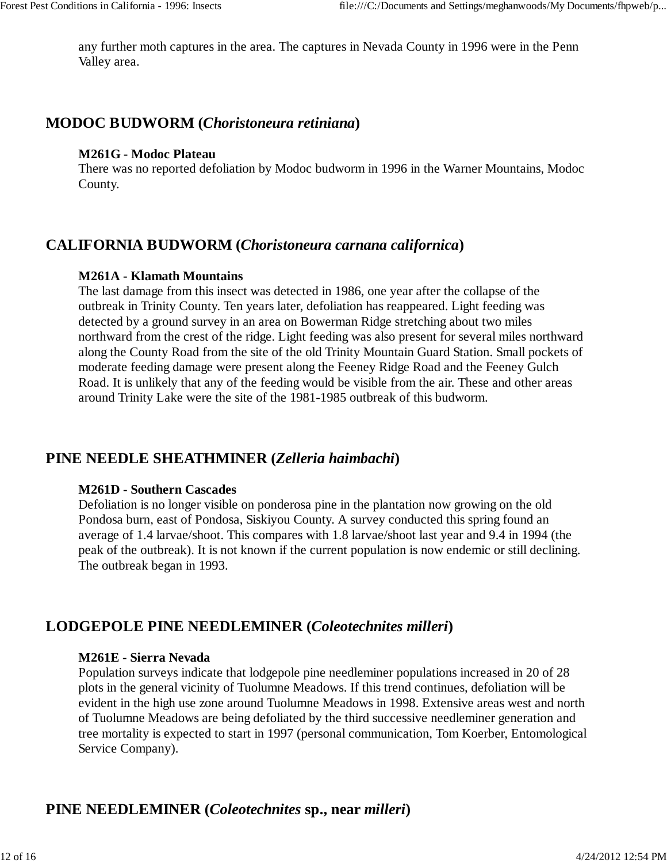any further moth captures in the area. The captures in Nevada County in 1996 were in the Penn Valley area.

## **MODOC BUDWORM (***Choristoneura retiniana***)**

#### **M261G - Modoc Plateau**

There was no reported defoliation by Modoc budworm in 1996 in the Warner Mountains, Modoc County.

## **CALIFORNIA BUDWORM (***Choristoneura carnana californica***)**

#### **M261A - Klamath Mountains**

The last damage from this insect was detected in 1986, one year after the collapse of the outbreak in Trinity County. Ten years later, defoliation has reappeared. Light feeding was detected by a ground survey in an area on Bowerman Ridge stretching about two miles northward from the crest of the ridge. Light feeding was also present for several miles northward along the County Road from the site of the old Trinity Mountain Guard Station. Small pockets of moderate feeding damage were present along the Feeney Ridge Road and the Feeney Gulch Road. It is unlikely that any of the feeding would be visible from the air. These and other areas around Trinity Lake were the site of the 1981-1985 outbreak of this budworm.

## **PINE NEEDLE SHEATHMINER (***Zelleria haimbachi***)**

#### **M261D - Southern Cascades**

Defoliation is no longer visible on ponderosa pine in the plantation now growing on the old Pondosa burn, east of Pondosa, Siskiyou County. A survey conducted this spring found an average of 1.4 larvae/shoot. This compares with 1.8 larvae/shoot last year and 9.4 in 1994 (the peak of the outbreak). It is not known if the current population is now endemic or still declining. The outbreak began in 1993.

## **LODGEPOLE PINE NEEDLEMINER (***Coleotechnites milleri***)**

#### **M261E - Sierra Nevada**

Population surveys indicate that lodgepole pine needleminer populations increased in 20 of 28 plots in the general vicinity of Tuolumne Meadows. If this trend continues, defoliation will be evident in the high use zone around Tuolumne Meadows in 1998. Extensive areas west and north of Tuolumne Meadows are being defoliated by the third successive needleminer generation and tree mortality is expected to start in 1997 (personal communication, Tom Koerber, Entomological Service Company).

# **PINE NEEDLEMINER (***Coleotechnites* **sp., near** *milleri***)**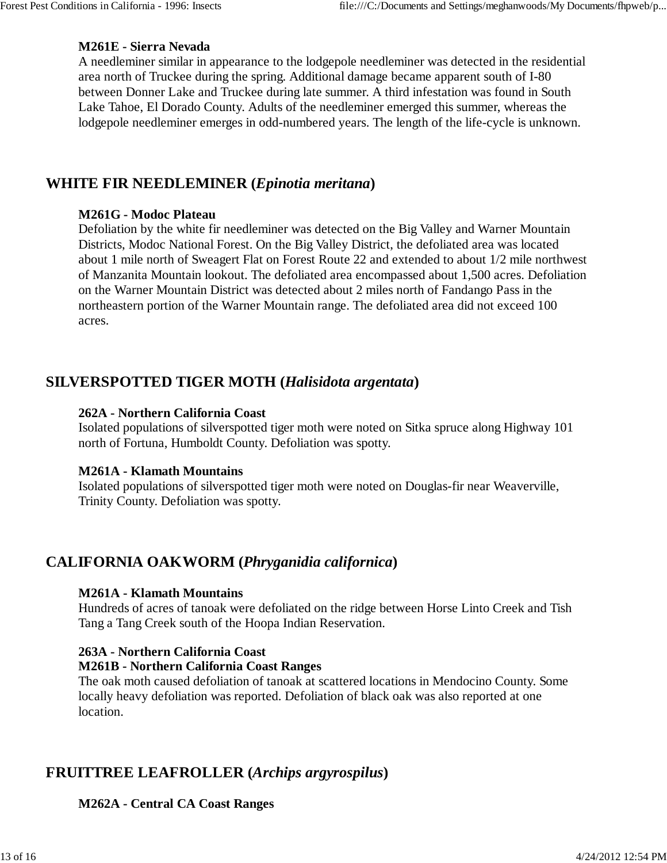#### **M261E - Sierra Nevada**

A needleminer similar in appearance to the lodgepole needleminer was detected in the residential area north of Truckee during the spring. Additional damage became apparent south of I-80 between Donner Lake and Truckee during late summer. A third infestation was found in South Lake Tahoe, El Dorado County. Adults of the needleminer emerged this summer, whereas the lodgepole needleminer emerges in odd-numbered years. The length of the life-cycle is unknown.

## **WHITE FIR NEEDLEMINER (***Epinotia meritana***)**

#### **M261G - Modoc Plateau**

Defoliation by the white fir needleminer was detected on the Big Valley and Warner Mountain Districts, Modoc National Forest. On the Big Valley District, the defoliated area was located about 1 mile north of Sweagert Flat on Forest Route 22 and extended to about 1/2 mile northwest of Manzanita Mountain lookout. The defoliated area encompassed about 1,500 acres. Defoliation on the Warner Mountain District was detected about 2 miles north of Fandango Pass in the northeastern portion of the Warner Mountain range. The defoliated area did not exceed 100 acres.

## **SILVERSPOTTED TIGER MOTH (***Halisidota argentata***)**

#### **262A - Northern California Coast**

Isolated populations of silverspotted tiger moth were noted on Sitka spruce along Highway 101 north of Fortuna, Humboldt County. Defoliation was spotty.

#### **M261A - Klamath Mountains**

Isolated populations of silverspotted tiger moth were noted on Douglas-fir near Weaverville, Trinity County. Defoliation was spotty.

## **CALIFORNIA OAKWORM (***Phryganidia californica***)**

#### **M261A - Klamath Mountains**

Hundreds of acres of tanoak were defoliated on the ridge between Horse Linto Creek and Tish Tang a Tang Creek south of the Hoopa Indian Reservation.

#### **263A - Northern California Coast**

#### **M261B - Northern California Coast Ranges**

The oak moth caused defoliation of tanoak at scattered locations in Mendocino County. Some locally heavy defoliation was reported. Defoliation of black oak was also reported at one location.

## **FRUITTREE LEAFROLLER (***Archips argyrospilus***)**

#### **M262A - Central CA Coast Ranges**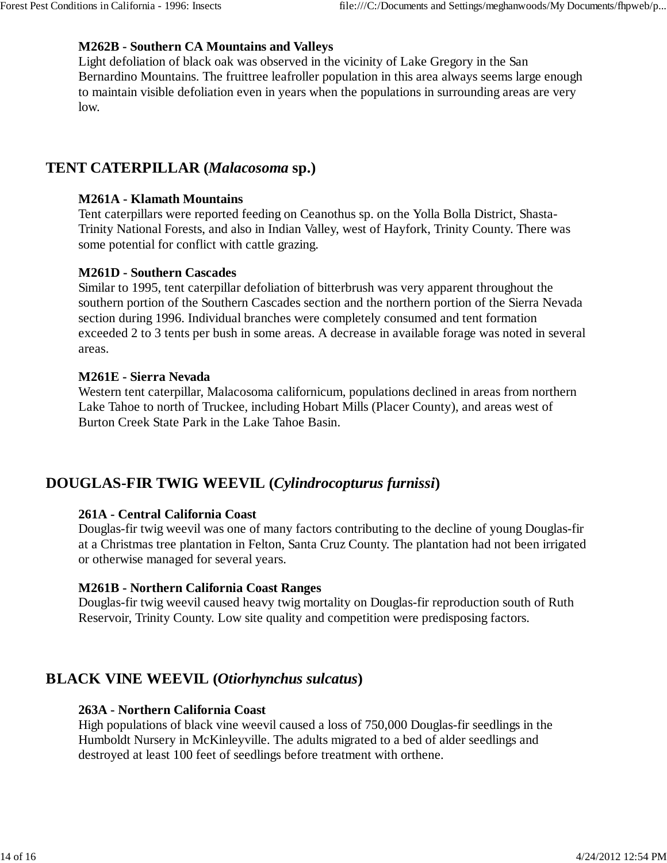#### **M262B - Southern CA Mountains and Valleys**

Light defoliation of black oak was observed in the vicinity of Lake Gregory in the San Bernardino Mountains. The fruittree leafroller population in this area always seems large enough to maintain visible defoliation even in years when the populations in surrounding areas are very low.

## **TENT CATERPILLAR (***Malacosoma* **sp.)**

#### **M261A - Klamath Mountains**

Tent caterpillars were reported feeding on Ceanothus sp. on the Yolla Bolla District, Shasta-Trinity National Forests, and also in Indian Valley, west of Hayfork, Trinity County. There was some potential for conflict with cattle grazing.

#### **M261D - Southern Cascades**

Similar to 1995, tent caterpillar defoliation of bitterbrush was very apparent throughout the southern portion of the Southern Cascades section and the northern portion of the Sierra Nevada section during 1996. Individual branches were completely consumed and tent formation exceeded 2 to 3 tents per bush in some areas. A decrease in available forage was noted in several areas.

#### **M261E - Sierra Nevada**

Western tent caterpillar, Malacosoma californicum, populations declined in areas from northern Lake Tahoe to north of Truckee, including Hobart Mills (Placer County), and areas west of Burton Creek State Park in the Lake Tahoe Basin.

## **DOUGLAS-FIR TWIG WEEVIL (***Cylindrocopturus furnissi***)**

#### **261A - Central California Coast**

Douglas-fir twig weevil was one of many factors contributing to the decline of young Douglas-fir at a Christmas tree plantation in Felton, Santa Cruz County. The plantation had not been irrigated or otherwise managed for several years.

#### **M261B - Northern California Coast Ranges**

Douglas-fir twig weevil caused heavy twig mortality on Douglas-fir reproduction south of Ruth Reservoir, Trinity County. Low site quality and competition were predisposing factors.

## **BLACK VINE WEEVIL (***Otiorhynchus sulcatus***)**

#### **263A - Northern California Coast**

High populations of black vine weevil caused a loss of 750,000 Douglas-fir seedlings in the Humboldt Nursery in McKinleyville. The adults migrated to a bed of alder seedlings and destroyed at least 100 feet of seedlings before treatment with orthene.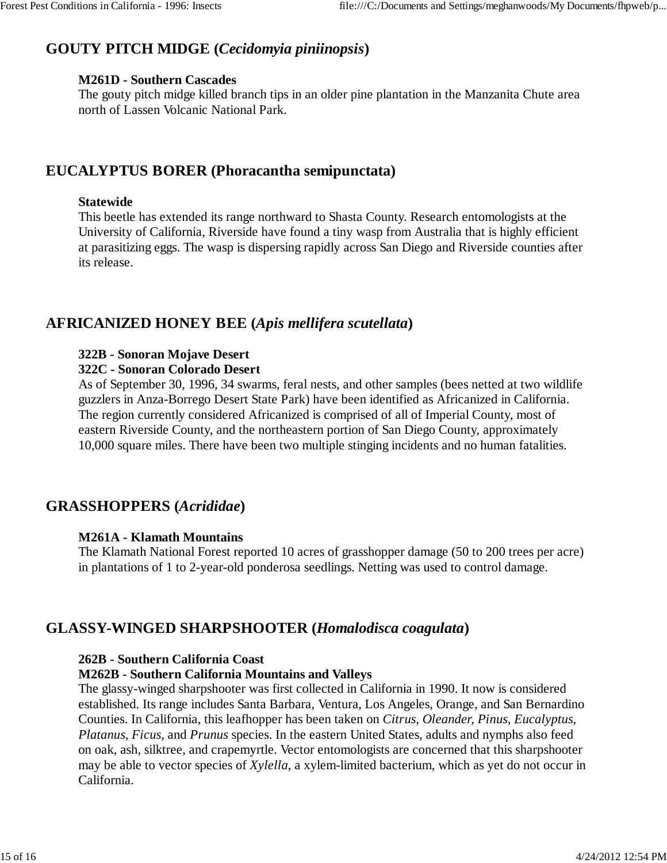# **GOUTY PITCH MIDGE (***Cecidomyia piniinopsis***)**

#### **M261D - Southern Cascades**

The gouty pitch midge killed branch tips in an older pine plantation in the Manzanita Chute area north of Lassen Volcanic National Park.

## **EUCALYPTUS BORER (Phoracantha semipunctata)**

#### **Statewide**

This beetle has extended its range northward to Shasta County. Research entomologists at the University of California, Riverside have found a tiny wasp from Australia that is highly efficient at parasitizing eggs. The wasp is dispersing rapidly across San Diego and Riverside counties after its release.

## **AFRICANIZED HONEY BEE (***Apis mellifera scutellata***)**

## **322B - Sonoran Mojave Desert**

#### **322C - Sonoran Colorado Desert**

As of September 30, 1996, 34 swarms, feral nests, and other samples (bees netted at two wildlife guzzlers in Anza-Borrego Desert State Park) have been identified as Africanized in California. The region currently considered Africanized is comprised of all of Imperial County, most of eastern Riverside County, and the northeastern portion of San Diego County, approximately 10,000 square miles. There have been two multiple stinging incidents and no human fatalities.

# **GRASSHOPPERS (***Acrididae***)**

#### **M261A - Klamath Mountains**

The Klamath National Forest reported 10 acres of grasshopper damage (50 to 200 trees per acre) in plantations of 1 to 2-year-old ponderosa seedlings. Netting was used to control damage.

# **GLASSY-WINGED SHARPSHOOTER (***Homalodisca coagulata***)**

#### **262B - Southern California Coast**

#### **M262B - Southern California Mountains and Valleys**

The glassy-winged sharpshooter was first collected in California in 1990. It now is considered established. Its range includes Santa Barbara, Ventura, Los Angeles, Orange, and San Bernardino Counties. In California, this leafhopper has been taken on *Citrus, Oleander, Pinus, Eucalyptus, Platanus, Ficus,* and *Prunus* species. In the eastern United States, adults and nymphs also feed on oak, ash, silktree, and crapemyrtle. Vector entomologists are concerned that this sharpshooter may be able to vector species of *Xylella*, a xylem-limited bacterium, which as yet do not occur in California.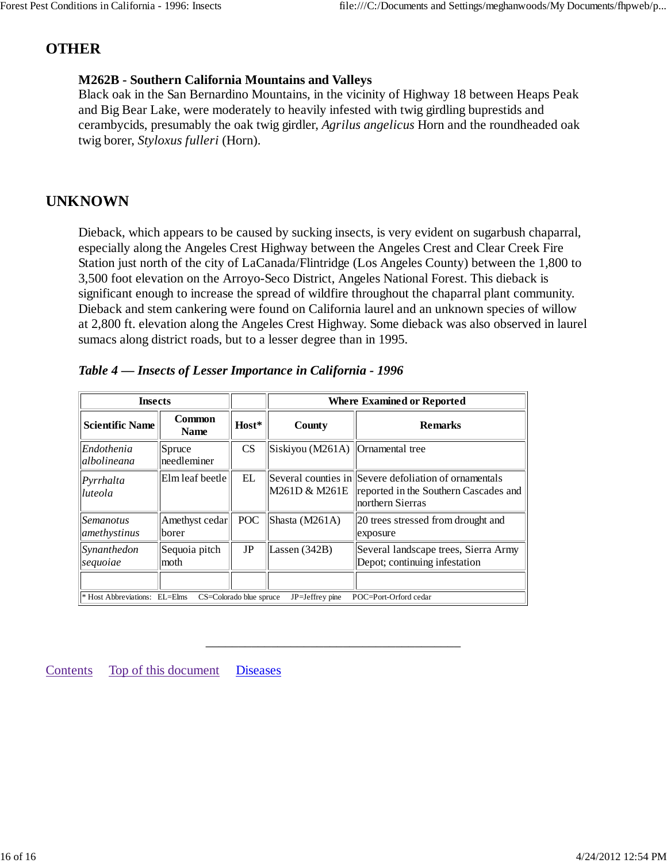# **OTHER**

## **M262B - Southern California Mountains and Valleys**

Black oak in the San Bernardino Mountains, in the vicinity of Highway 18 between Heaps Peak and Big Bear Lake, were moderately to heavily infested with twig girdling buprestids and cerambycids, presumably the oak twig girdler, *Agrilus angelicus* Horn and the roundheaded oak twig borer, *Styloxus fulleri* (Horn).

## **UNKNOWN**

Dieback, which appears to be caused by sucking insects, is very evident on sugarbush chaparral, especially along the Angeles Crest Highway between the Angeles Crest and Clear Creek Fire Station just north of the city of LaCanada/Flintridge (Los Angeles County) between the 1,800 to 3,500 foot elevation on the Arroyo-Seco District, Angeles National Forest. This dieback is significant enough to increase the spread of wildfire throughout the chaparral plant community. Dieback and stem cankering were found on California laurel and an unknown species of willow at 2,800 ft. elevation along the Angeles Crest Highway. Some dieback was also observed in laurel sumacs along district roads, but to a lesser degree than in 1995.

| <b>Insects</b>            |                              |                                                                                                      | <b>Where Examined or Reported</b>  |                                                                                                                    |  |  |  |  |
|---------------------------|------------------------------|------------------------------------------------------------------------------------------------------|------------------------------------|--------------------------------------------------------------------------------------------------------------------|--|--|--|--|
| <b>Scientific Name</b>    | <b>Common</b><br><b>Name</b> | Host*                                                                                                | County                             | <b>Remarks</b>                                                                                                     |  |  |  |  |
| Endothenia<br>albolineana | Spruce<br>needleminer        | CS                                                                                                   | Siskiyou (M261A)   Ornamental tree |                                                                                                                    |  |  |  |  |
| Pyrrhalta<br>luteola      | Elm leaf beetle              | EL                                                                                                   | M261D & M261E                      | Several counties in Severe defoliation of ornamentals<br>reported in the Southern Cascades and<br>northern Sierras |  |  |  |  |
| Semanotus<br>amethystinus | Amethyst cedar<br>borer      | <b>POC</b>                                                                                           | Shasta (M261A)                     | 20 trees stressed from drought and<br>exposure                                                                     |  |  |  |  |
| Synanthedon<br>sequoiae   | Sequoia pitch<br>moth        | JP                                                                                                   | Lassen $(342B)$                    | Several landscape trees, Sierra Army<br>Depot; continuing infestation                                              |  |  |  |  |
|                           |                              |                                                                                                      |                                    |                                                                                                                    |  |  |  |  |
|                           |                              | * Host Abbreviations: EL=Elms<br>JP=Jeffrey pine<br>POC=Port-Orford cedar<br>CS=Colorado blue spruce |                                    |                                                                                                                    |  |  |  |  |

\_\_\_\_\_\_\_\_\_\_\_\_\_\_\_\_\_\_\_\_\_\_\_\_\_\_\_\_\_\_\_\_\_\_\_\_\_\_\_

|  | Table 4 – Insects of Lesser Importance in California - 1996 |  |  |
|--|-------------------------------------------------------------|--|--|
|  |                                                             |  |  |

Contents Top of this document Diseases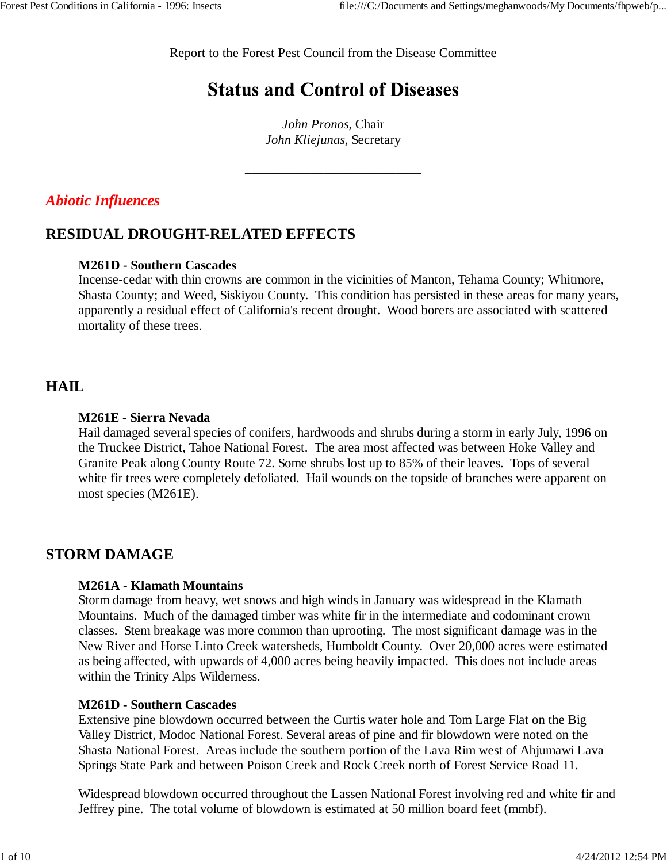Report to the Forest Pest Council from the Disease Committee

# **Status and Control of Diseases**

*John Pronos*, Chair *John Kliejunas*, Secretary

\_\_\_\_\_\_\_\_\_\_\_\_\_\_\_\_\_\_\_\_\_\_\_\_\_\_\_

## *Abiotic Influences*

# **RESIDUAL DROUGHT-RELATED EFFECTS**

## **M261D - Southern Cascades**

Incense-cedar with thin crowns are common in the vicinities of Manton, Tehama County; Whitmore, Shasta County; and Weed, Siskiyou County. This condition has persisted in these areas for many years, apparently a residual effect of California's recent drought. Wood borers are associated with scattered mortality of these trees.

## **HAIL**

#### **M261E - Sierra Nevada**

Hail damaged several species of conifers, hardwoods and shrubs during a storm in early July, 1996 on the Truckee District, Tahoe National Forest. The area most affected was between Hoke Valley and Granite Peak along County Route 72. Some shrubs lost up to 85% of their leaves. Tops of several white fir trees were completely defoliated. Hail wounds on the topside of branches were apparent on most species (M261E).

# **STORM DAMAGE**

#### **M261A - Klamath Mountains**

Storm damage from heavy, wet snows and high winds in January was widespread in the Klamath Mountains. Much of the damaged timber was white fir in the intermediate and codominant crown classes. Stem breakage was more common than uprooting. The most significant damage was in the New River and Horse Linto Creek watersheds, Humboldt County. Over 20,000 acres were estimated as being affected, with upwards of 4,000 acres being heavily impacted. This does not include areas within the Trinity Alps Wilderness.

#### **M261D - Southern Cascades**

Extensive pine blowdown occurred between the Curtis water hole and Tom Large Flat on the Big Valley District, Modoc National Forest. Several areas of pine and fir blowdown were noted on the Shasta National Forest. Areas include the southern portion of the Lava Rim west of Ahjumawi Lava Springs State Park and between Poison Creek and Rock Creek north of Forest Service Road 11.

Widespread blowdown occurred throughout the Lassen National Forest involving red and white fir and Jeffrey pine. The total volume of blowdown is estimated at 50 million board feet (mmbf).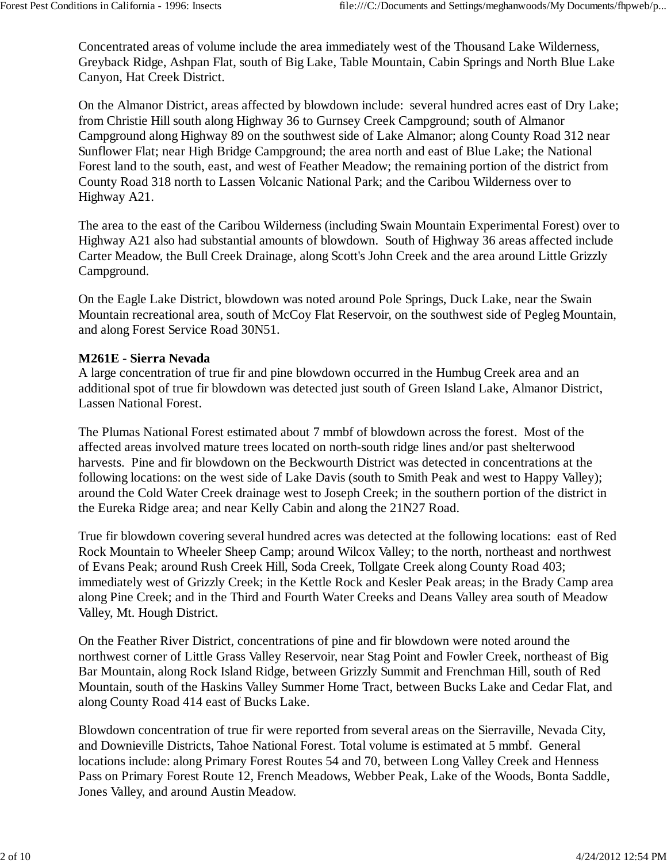Concentrated areas of volume include the area immediately west of the Thousand Lake Wilderness, Greyback Ridge, Ashpan Flat, south of Big Lake, Table Mountain, Cabin Springs and North Blue Lake Canyon, Hat Creek District.

On the Almanor District, areas affected by blowdown include: several hundred acres east of Dry Lake; from Christie Hill south along Highway 36 to Gurnsey Creek Campground; south of Almanor Campground along Highway 89 on the southwest side of Lake Almanor; along County Road 312 near Sunflower Flat; near High Bridge Campground; the area north and east of Blue Lake; the National Forest land to the south, east, and west of Feather Meadow; the remaining portion of the district from County Road 318 north to Lassen Volcanic National Park; and the Caribou Wilderness over to Highway A21.

The area to the east of the Caribou Wilderness (including Swain Mountain Experimental Forest) over to Highway A21 also had substantial amounts of blowdown. South of Highway 36 areas affected include Carter Meadow, the Bull Creek Drainage, along Scott's John Creek and the area around Little Grizzly Campground.

On the Eagle Lake District, blowdown was noted around Pole Springs, Duck Lake, near the Swain Mountain recreational area, south of McCoy Flat Reservoir, on the southwest side of Pegleg Mountain, and along Forest Service Road 30N51.

#### **M261E - Sierra Nevada**

A large concentration of true fir and pine blowdown occurred in the Humbug Creek area and an additional spot of true fir blowdown was detected just south of Green Island Lake, Almanor District, Lassen National Forest.

The Plumas National Forest estimated about 7 mmbf of blowdown across the forest. Most of the affected areas involved mature trees located on north-south ridge lines and/or past shelterwood harvests. Pine and fir blowdown on the Beckwourth District was detected in concentrations at the following locations: on the west side of Lake Davis (south to Smith Peak and west to Happy Valley); around the Cold Water Creek drainage west to Joseph Creek; in the southern portion of the district in the Eureka Ridge area; and near Kelly Cabin and along the 21N27 Road.

True fir blowdown covering several hundred acres was detected at the following locations: east of Red Rock Mountain to Wheeler Sheep Camp; around Wilcox Valley; to the north, northeast and northwest of Evans Peak; around Rush Creek Hill, Soda Creek, Tollgate Creek along County Road 403; immediately west of Grizzly Creek; in the Kettle Rock and Kesler Peak areas; in the Brady Camp area along Pine Creek; and in the Third and Fourth Water Creeks and Deans Valley area south of Meadow Valley, Mt. Hough District.

On the Feather River District, concentrations of pine and fir blowdown were noted around the northwest corner of Little Grass Valley Reservoir, near Stag Point and Fowler Creek, northeast of Big Bar Mountain, along Rock Island Ridge, between Grizzly Summit and Frenchman Hill, south of Red Mountain, south of the Haskins Valley Summer Home Tract, between Bucks Lake and Cedar Flat, and along County Road 414 east of Bucks Lake.

Blowdown concentration of true fir were reported from several areas on the Sierraville, Nevada City, and Downieville Districts, Tahoe National Forest. Total volume is estimated at 5 mmbf. General locations include: along Primary Forest Routes 54 and 70, between Long Valley Creek and Henness Pass on Primary Forest Route 12, French Meadows, Webber Peak, Lake of the Woods, Bonta Saddle, Jones Valley, and around Austin Meadow.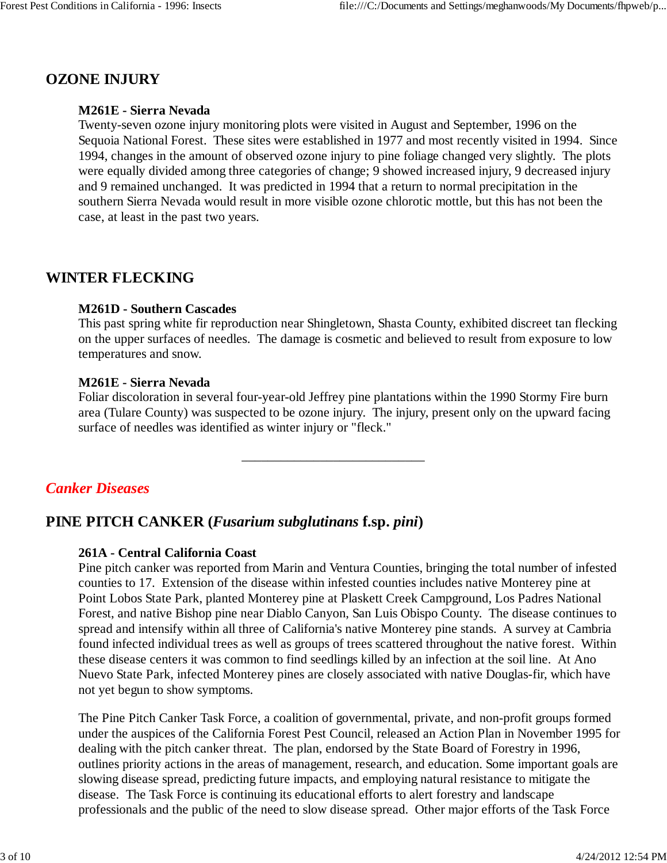## **OZONE INJURY**

#### **M261E - Sierra Nevada**

Twenty-seven ozone injury monitoring plots were visited in August and September, 1996 on the Sequoia National Forest. These sites were established in 1977 and most recently visited in 1994. Since 1994, changes in the amount of observed ozone injury to pine foliage changed very slightly. The plots were equally divided among three categories of change; 9 showed increased injury, 9 decreased injury and 9 remained unchanged. It was predicted in 1994 that a return to normal precipitation in the southern Sierra Nevada would result in more visible ozone chlorotic mottle, but this has not been the case, at least in the past two years.

## **WINTER FLECKING**

#### **M261D - Southern Cascades**

This past spring white fir reproduction near Shingletown, Shasta County, exhibited discreet tan flecking on the upper surfaces of needles. The damage is cosmetic and believed to result from exposure to low temperatures and snow.

#### **M261E - Sierra Nevada**

Foliar discoloration in several four-year-old Jeffrey pine plantations within the 1990 Stormy Fire burn area (Tulare County) was suspected to be ozone injury. The injury, present only on the upward facing surface of needles was identified as winter injury or "fleck."

\_\_\_\_\_\_\_\_\_\_\_\_\_\_\_\_\_\_\_\_\_\_\_\_\_\_\_\_

*Canker Diseases*

## **PINE PITCH CANKER (***Fusarium subglutinans* **f.sp.** *pini***)**

#### **261A - Central California Coast**

Pine pitch canker was reported from Marin and Ventura Counties, bringing the total number of infested counties to 17. Extension of the disease within infested counties includes native Monterey pine at Point Lobos State Park, planted Monterey pine at Plaskett Creek Campground, Los Padres National Forest, and native Bishop pine near Diablo Canyon, San Luis Obispo County. The disease continues to spread and intensify within all three of California's native Monterey pine stands. A survey at Cambria found infected individual trees as well as groups of trees scattered throughout the native forest. Within these disease centers it was common to find seedlings killed by an infection at the soil line. At Ano Nuevo State Park, infected Monterey pines are closely associated with native Douglas-fir, which have not yet begun to show symptoms.

The Pine Pitch Canker Task Force, a coalition of governmental, private, and non-profit groups formed under the auspices of the California Forest Pest Council, released an Action Plan in November 1995 for dealing with the pitch canker threat. The plan, endorsed by the State Board of Forestry in 1996, outlines priority actions in the areas of management, research, and education. Some important goals are slowing disease spread, predicting future impacts, and employing natural resistance to mitigate the disease. The Task Force is continuing its educational efforts to alert forestry and landscape professionals and the public of the need to slow disease spread. Other major efforts of the Task Force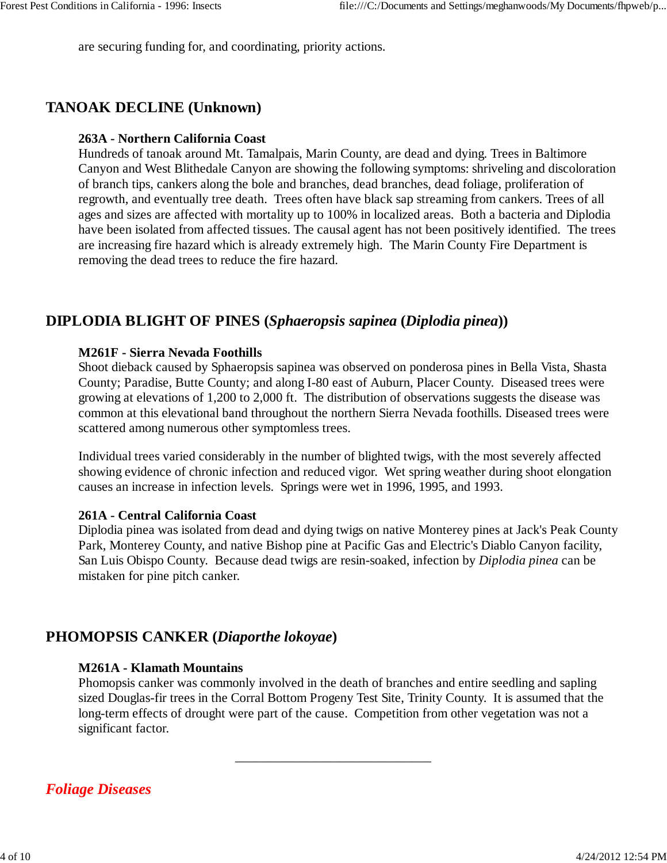are securing funding for, and coordinating, priority actions.

## **TANOAK DECLINE (Unknown)**

### **263A - Northern California Coast**

Hundreds of tanoak around Mt. Tamalpais, Marin County, are dead and dying. Trees in Baltimore Canyon and West Blithedale Canyon are showing the following symptoms: shriveling and discoloration of branch tips, cankers along the bole and branches, dead branches, dead foliage, proliferation of regrowth, and eventually tree death. Trees often have black sap streaming from cankers. Trees of all ages and sizes are affected with mortality up to 100% in localized areas. Both a bacteria and Diplodia have been isolated from affected tissues. The causal agent has not been positively identified. The trees are increasing fire hazard which is already extremely high. The Marin County Fire Department is removing the dead trees to reduce the fire hazard.

## **DIPLODIA BLIGHT OF PINES (***Sphaeropsis sapinea* **(***Diplodia pinea***))**

#### **M261F - Sierra Nevada Foothills**

Shoot dieback caused by Sphaeropsis sapinea was observed on ponderosa pines in Bella Vista, Shasta County; Paradise, Butte County; and along I-80 east of Auburn, Placer County. Diseased trees were growing at elevations of 1,200 to 2,000 ft. The distribution of observations suggests the disease was common at this elevational band throughout the northern Sierra Nevada foothills. Diseased trees were scattered among numerous other symptomless trees.

Individual trees varied considerably in the number of blighted twigs, with the most severely affected showing evidence of chronic infection and reduced vigor. Wet spring weather during shoot elongation causes an increase in infection levels. Springs were wet in 1996, 1995, and 1993.

#### **261A - Central California Coast**

Diplodia pinea was isolated from dead and dying twigs on native Monterey pines at Jack's Peak County Park, Monterey County, and native Bishop pine at Pacific Gas and Electric's Diablo Canyon facility, San Luis Obispo County. Because dead twigs are resin-soaked, infection by *Diplodia pinea* can be mistaken for pine pitch canker.

## **PHOMOPSIS CANKER (***Diaporthe lokoyae***)**

#### **M261A - Klamath Mountains**

Phomopsis canker was commonly involved in the death of branches and entire seedling and sapling sized Douglas-fir trees in the Corral Bottom Progeny Test Site, Trinity County. It is assumed that the long-term effects of drought were part of the cause. Competition from other vegetation was not a significant factor.

\_\_\_\_\_\_\_\_\_\_\_\_\_\_\_\_\_\_\_\_\_\_\_\_\_\_\_\_\_\_

## *Foliage Diseases*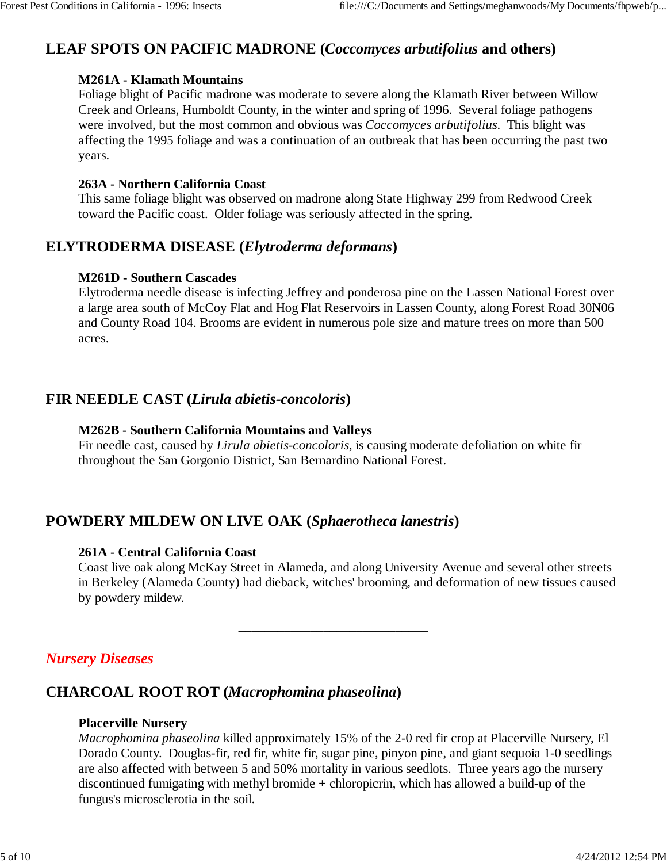# **LEAF SPOTS ON PACIFIC MADRONE (***Coccomyces arbutifolius* **and others)**

### **M261A - Klamath Mountains**

Foliage blight of Pacific madrone was moderate to severe along the Klamath River between Willow Creek and Orleans, Humboldt County, in the winter and spring of 1996. Several foliage pathogens were involved, but the most common and obvious was *Coccomyces arbutifolius*. This blight was affecting the 1995 foliage and was a continuation of an outbreak that has been occurring the past two years.

### **263A - Northern California Coast**

This same foliage blight was observed on madrone along State Highway 299 from Redwood Creek toward the Pacific coast. Older foliage was seriously affected in the spring.

## **ELYTRODERMA DISEASE (***Elytroderma deformans***)**

## **M261D - Southern Cascades**

Elytroderma needle disease is infecting Jeffrey and ponderosa pine on the Lassen National Forest over a large area south of McCoy Flat and Hog Flat Reservoirs in Lassen County, along Forest Road 30N06 and County Road 104. Brooms are evident in numerous pole size and mature trees on more than 500 acres.

## **FIR NEEDLE CAST (***Lirula abietis-concoloris***)**

### **M262B - Southern California Mountains and Valleys**

Fir needle cast, caused by *Lirula abietis-concoloris*, is causing moderate defoliation on white fir throughout the San Gorgonio District, San Bernardino National Forest.

# **POWDERY MILDEW ON LIVE OAK (***Sphaerotheca lanestris***)**

## **261A - Central California Coast**

Coast live oak along McKay Street in Alameda, and along University Avenue and several other streets in Berkeley (Alameda County) had dieback, witches' brooming, and deformation of new tissues caused by powdery mildew.

\_\_\_\_\_\_\_\_\_\_\_\_\_\_\_\_\_\_\_\_\_\_\_\_\_\_\_\_\_

# *Nursery Diseases*

# **CHARCOAL ROOT ROT (***Macrophomina phaseolina***)**

## **Placerville Nursery**

*Macrophomina phaseolina* killed approximately 15% of the 2-0 red fir crop at Placerville Nursery, El Dorado County. Douglas-fir, red fir, white fir, sugar pine, pinyon pine, and giant sequoia 1-0 seedlings are also affected with between 5 and 50% mortality in various seedlots. Three years ago the nursery discontinued fumigating with methyl bromide + chloropicrin, which has allowed a build-up of the fungus's microsclerotia in the soil.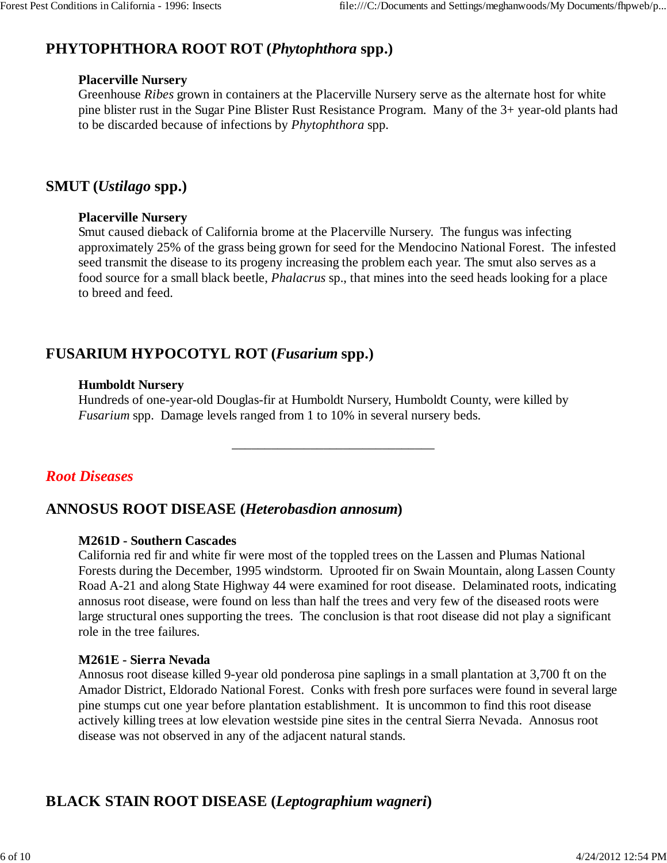# **PHYTOPHTHORA ROOT ROT (***Phytophthora* **spp.)**

#### **Placerville Nursery**

Greenhouse *Ribes* grown in containers at the Placerville Nursery serve as the alternate host for white pine blister rust in the Sugar Pine Blister Rust Resistance Program. Many of the 3+ year-old plants had to be discarded because of infections by *Phytophthora* spp.

## **SMUT (***Ustilago* **spp.)**

## **Placerville Nursery**

Smut caused dieback of California brome at the Placerville Nursery. The fungus was infecting approximately 25% of the grass being grown for seed for the Mendocino National Forest. The infested seed transmit the disease to its progeny increasing the problem each year. The smut also serves as a food source for a small black beetle, *Phalacrus* sp., that mines into the seed heads looking for a place to breed and feed.

# **FUSARIUM HYPOCOTYL ROT (***Fusarium* **spp.)**

## **Humboldt Nursery**

Hundreds of one-year-old Douglas-fir at Humboldt Nursery, Humboldt County, were killed by *Fusarium* spp. Damage levels ranged from 1 to 10% in several nursery beds.

\_\_\_\_\_\_\_\_\_\_\_\_\_\_\_\_\_\_\_\_\_\_\_\_\_\_\_\_\_\_\_

# *Root Diseases*

# **ANNOSUS ROOT DISEASE (***Heterobasdion annosum***)**

## **M261D - Southern Cascades**

California red fir and white fir were most of the toppled trees on the Lassen and Plumas National Forests during the December, 1995 windstorm. Uprooted fir on Swain Mountain, along Lassen County Road A-21 and along State Highway 44 were examined for root disease. Delaminated roots, indicating annosus root disease, were found on less than half the trees and very few of the diseased roots were large structural ones supporting the trees. The conclusion is that root disease did not play a significant role in the tree failures.

## **M261E - Sierra Nevada**

Annosus root disease killed 9-year old ponderosa pine saplings in a small plantation at 3,700 ft on the Amador District, Eldorado National Forest. Conks with fresh pore surfaces were found in several large pine stumps cut one year before plantation establishment. It is uncommon to find this root disease actively killing trees at low elevation westside pine sites in the central Sierra Nevada. Annosus root disease was not observed in any of the adjacent natural stands.

# **BLACK STAIN ROOT DISEASE (***Leptographium wagneri***)**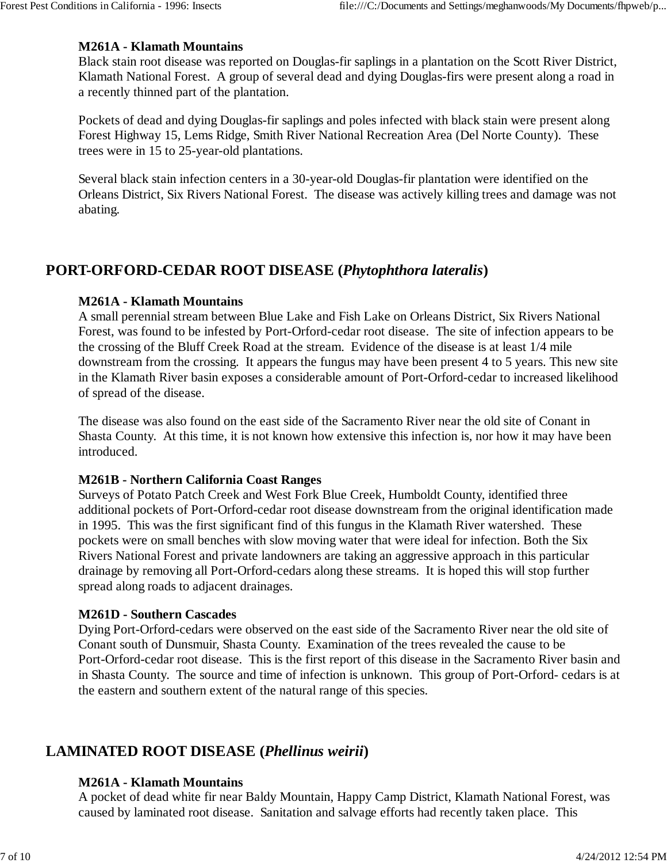### **M261A - Klamath Mountains**

Black stain root disease was reported on Douglas-fir saplings in a plantation on the Scott River District, Klamath National Forest. A group of several dead and dying Douglas-firs were present along a road in a recently thinned part of the plantation.

Pockets of dead and dying Douglas-fir saplings and poles infected with black stain were present along Forest Highway 15, Lems Ridge, Smith River National Recreation Area (Del Norte County). These trees were in 15 to 25-year-old plantations.

Several black stain infection centers in a 30-year-old Douglas-fir plantation were identified on the Orleans District, Six Rivers National Forest. The disease was actively killing trees and damage was not abating.

## **PORT-ORFORD-CEDAR ROOT DISEASE (***Phytophthora lateralis***)**

#### **M261A - Klamath Mountains**

A small perennial stream between Blue Lake and Fish Lake on Orleans District, Six Rivers National Forest, was found to be infested by Port-Orford-cedar root disease. The site of infection appears to be the crossing of the Bluff Creek Road at the stream. Evidence of the disease is at least 1/4 mile downstream from the crossing. It appears the fungus may have been present 4 to 5 years. This new site in the Klamath River basin exposes a considerable amount of Port-Orford-cedar to increased likelihood of spread of the disease.

The disease was also found on the east side of the Sacramento River near the old site of Conant in Shasta County. At this time, it is not known how extensive this infection is, nor how it may have been introduced.

#### **M261B - Northern California Coast Ranges**

Surveys of Potato Patch Creek and West Fork Blue Creek, Humboldt County, identified three additional pockets of Port-Orford-cedar root disease downstream from the original identification made in 1995. This was the first significant find of this fungus in the Klamath River watershed. These pockets were on small benches with slow moving water that were ideal for infection. Both the Six Rivers National Forest and private landowners are taking an aggressive approach in this particular drainage by removing all Port-Orford-cedars along these streams. It is hoped this will stop further spread along roads to adjacent drainages.

#### **M261D - Southern Cascades**

Dying Port-Orford-cedars were observed on the east side of the Sacramento River near the old site of Conant south of Dunsmuir, Shasta County. Examination of the trees revealed the cause to be Port-Orford-cedar root disease. This is the first report of this disease in the Sacramento River basin and in Shasta County. The source and time of infection is unknown. This group of Port-Orford- cedars is at the eastern and southern extent of the natural range of this species.

# **LAMINATED ROOT DISEASE (***Phellinus weirii***)**

## **M261A - Klamath Mountains**

A pocket of dead white fir near Baldy Mountain, Happy Camp District, Klamath National Forest, was caused by laminated root disease. Sanitation and salvage efforts had recently taken place. This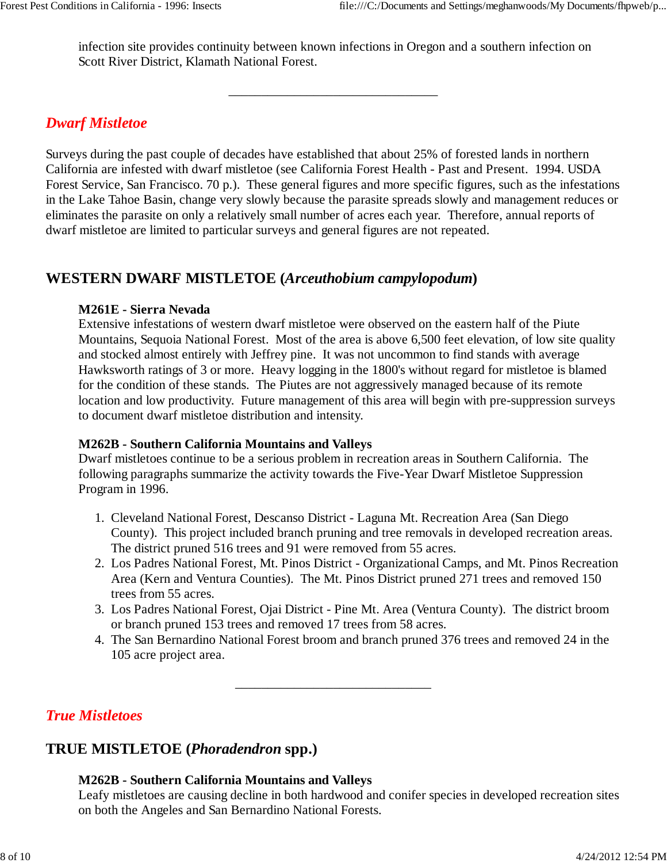infection site provides continuity between known infections in Oregon and a southern infection on Scott River District, Klamath National Forest.

\_\_\_\_\_\_\_\_\_\_\_\_\_\_\_\_\_\_\_\_\_\_\_\_\_\_\_\_\_\_\_\_

## *Dwarf Mistletoe*

Surveys during the past couple of decades have established that about 25% of forested lands in northern California are infested with dwarf mistletoe (see California Forest Health - Past and Present. 1994. USDA Forest Service, San Francisco. 70 p.). These general figures and more specific figures, such as the infestations in the Lake Tahoe Basin, change very slowly because the parasite spreads slowly and management reduces or eliminates the parasite on only a relatively small number of acres each year. Therefore, annual reports of dwarf mistletoe are limited to particular surveys and general figures are not repeated.

## **WESTERN DWARF MISTLETOE (***Arceuthobium campylopodum***)**

## **M261E - Sierra Nevada**

Extensive infestations of western dwarf mistletoe were observed on the eastern half of the Piute Mountains, Sequoia National Forest. Most of the area is above 6,500 feet elevation, of low site quality and stocked almost entirely with Jeffrey pine. It was not uncommon to find stands with average Hawksworth ratings of 3 or more. Heavy logging in the 1800's without regard for mistletoe is blamed for the condition of these stands. The Piutes are not aggressively managed because of its remote location and low productivity. Future management of this area will begin with pre-suppression surveys to document dwarf mistletoe distribution and intensity.

## **M262B - Southern California Mountains and Valleys**

Dwarf mistletoes continue to be a serious problem in recreation areas in Southern California. The following paragraphs summarize the activity towards the Five-Year Dwarf Mistletoe Suppression Program in 1996.

- 1. Cleveland National Forest, Descanso District Laguna Mt. Recreation Area (San Diego County). This project included branch pruning and tree removals in developed recreation areas. The district pruned 516 trees and 91 were removed from 55 acres.
- 2. Los Padres National Forest, Mt. Pinos District Organizational Camps, and Mt. Pinos Recreation Area (Kern and Ventura Counties). The Mt. Pinos District pruned 271 trees and removed 150 trees from 55 acres.
- Los Padres National Forest, Ojai District Pine Mt. Area (Ventura County). The district broom 3. or branch pruned 153 trees and removed 17 trees from 58 acres.
- The San Bernardino National Forest broom and branch pruned 376 trees and removed 24 in the 4. 105 acre project area.

\_\_\_\_\_\_\_\_\_\_\_\_\_\_\_\_\_\_\_\_\_\_\_\_\_\_\_\_\_\_

# *True Mistletoes*

# **TRUE MISTLETOE (***Phoradendron* **spp.)**

# **M262B - Southern California Mountains and Valleys**

Leafy mistletoes are causing decline in both hardwood and conifer species in developed recreation sites on both the Angeles and San Bernardino National Forests.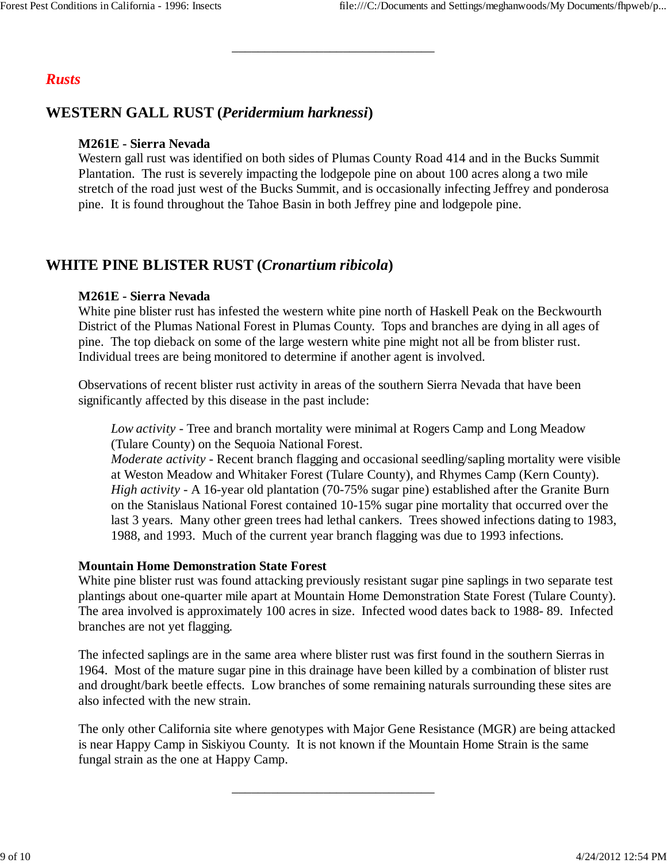## *Rusts*

# **WESTERN GALL RUST (***Peridermium harknessi***)**

## **M261E - Sierra Nevada**

Western gall rust was identified on both sides of Plumas County Road 414 and in the Bucks Summit Plantation. The rust is severely impacting the lodgepole pine on about 100 acres along a two mile stretch of the road just west of the Bucks Summit, and is occasionally infecting Jeffrey and ponderosa pine. It is found throughout the Tahoe Basin in both Jeffrey pine and lodgepole pine.

\_\_\_\_\_\_\_\_\_\_\_\_\_\_\_\_\_\_\_\_\_\_\_\_\_\_\_\_\_\_\_

# **WHITE PINE BLISTER RUST (***Cronartium ribicola***)**

#### **M261E - Sierra Nevada**

White pine blister rust has infested the western white pine north of Haskell Peak on the Beckwourth District of the Plumas National Forest in Plumas County. Tops and branches are dying in all ages of pine. The top dieback on some of the large western white pine might not all be from blister rust. Individual trees are being monitored to determine if another agent is involved.

Observations of recent blister rust activity in areas of the southern Sierra Nevada that have been significantly affected by this disease in the past include:

*Low activity* - Tree and branch mortality were minimal at Rogers Camp and Long Meadow (Tulare County) on the Sequoia National Forest.

*Moderate activity* - Recent branch flagging and occasional seedling/sapling mortality were visible at Weston Meadow and Whitaker Forest (Tulare County), and Rhymes Camp (Kern County). *High activity* - A 16-year old plantation (70-75% sugar pine) established after the Granite Burn on the Stanislaus National Forest contained 10-15% sugar pine mortality that occurred over the last 3 years. Many other green trees had lethal cankers. Trees showed infections dating to 1983, 1988, and 1993. Much of the current year branch flagging was due to 1993 infections.

#### **Mountain Home Demonstration State Forest**

White pine blister rust was found attacking previously resistant sugar pine saplings in two separate test plantings about one-quarter mile apart at Mountain Home Demonstration State Forest (Tulare County). The area involved is approximately 100 acres in size. Infected wood dates back to 1988- 89. Infected branches are not yet flagging.

The infected saplings are in the same area where blister rust was first found in the southern Sierras in 1964. Most of the mature sugar pine in this drainage have been killed by a combination of blister rust and drought/bark beetle effects. Low branches of some remaining naturals surrounding these sites are also infected with the new strain.

The only other California site where genotypes with Major Gene Resistance (MGR) are being attacked is near Happy Camp in Siskiyou County. It is not known if the Mountain Home Strain is the same fungal strain as the one at Happy Camp.

\_\_\_\_\_\_\_\_\_\_\_\_\_\_\_\_\_\_\_\_\_\_\_\_\_\_\_\_\_\_\_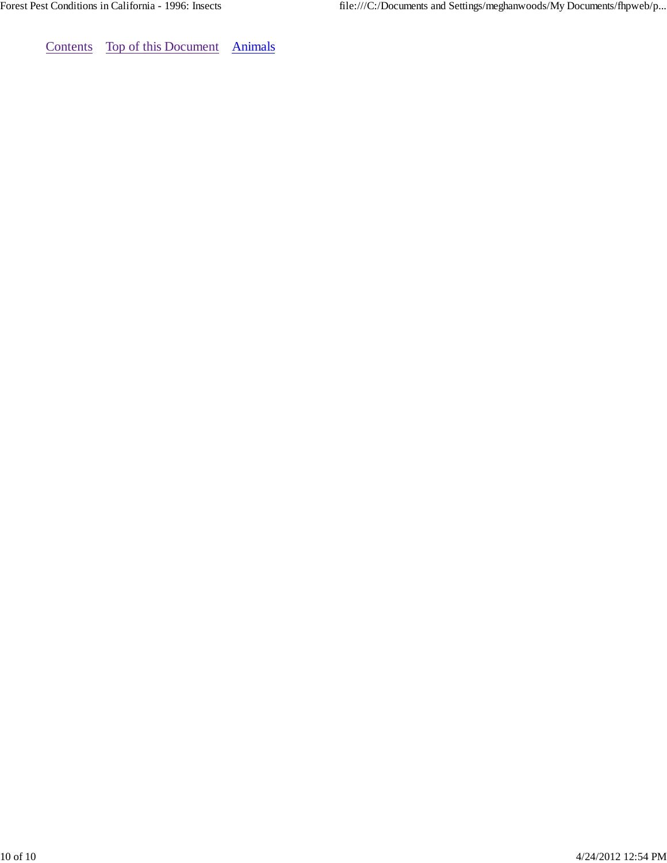Contents Top of this Document Animals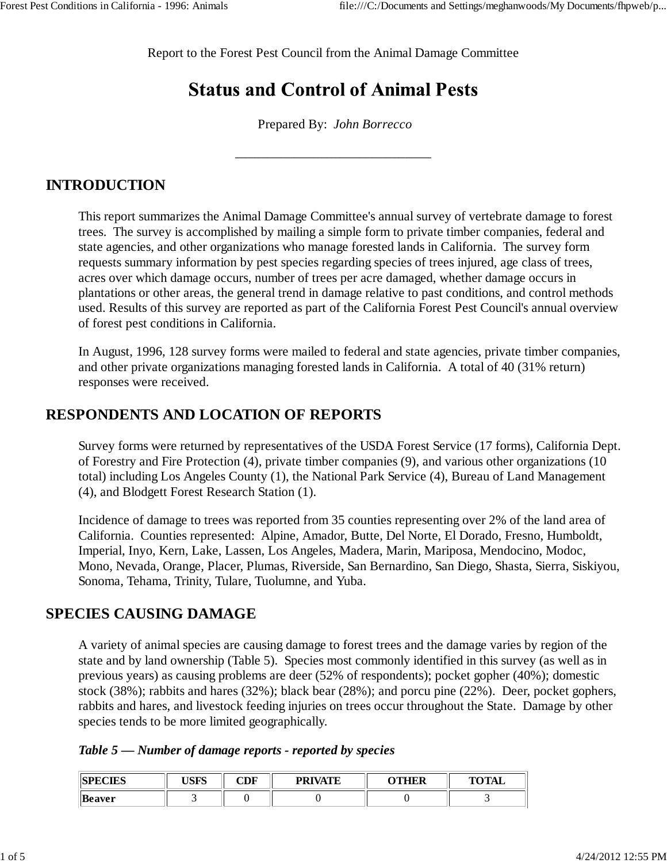Report to the Forest Pest Council from the Animal Damage Committee

# **Status and Control of Animal Pests**

Prepared By: *John Borrecco*

\_\_\_\_\_\_\_\_\_\_\_\_\_\_\_\_\_\_\_\_\_\_\_\_\_\_\_\_\_\_

## **INTRODUCTION**

This report summarizes the Animal Damage Committee's annual survey of vertebrate damage to forest trees. The survey is accomplished by mailing a simple form to private timber companies, federal and state agencies, and other organizations who manage forested lands in California. The survey form requests summary information by pest species regarding species of trees injured, age class of trees, acres over which damage occurs, number of trees per acre damaged, whether damage occurs in plantations or other areas, the general trend in damage relative to past conditions, and control methods used. Results of this survey are reported as part of the California Forest Pest Council's annual overview of forest pest conditions in California.

In August, 1996, 128 survey forms were mailed to federal and state agencies, private timber companies, and other private organizations managing forested lands in California. A total of 40 (31% return) responses were received.

## **RESPONDENTS AND LOCATION OF REPORTS**

Survey forms were returned by representatives of the USDA Forest Service (17 forms), California Dept. of Forestry and Fire Protection (4), private timber companies (9), and various other organizations (10 total) including Los Angeles County (1), the National Park Service (4), Bureau of Land Management (4), and Blodgett Forest Research Station (1).

Incidence of damage to trees was reported from 35 counties representing over 2% of the land area of California. Counties represented: Alpine, Amador, Butte, Del Norte, El Dorado, Fresno, Humboldt, Imperial, Inyo, Kern, Lake, Lassen, Los Angeles, Madera, Marin, Mariposa, Mendocino, Modoc, Mono, Nevada, Orange, Placer, Plumas, Riverside, San Bernardino, San Diego, Shasta, Sierra, Siskiyou, Sonoma, Tehama, Trinity, Tulare, Tuolumne, and Yuba.

## **SPECIES CAUSING DAMAGE**

A variety of animal species are causing damage to forest trees and the damage varies by region of the state and by land ownership (Table 5). Species most commonly identified in this survey (as well as in previous years) as causing problems are deer (52% of respondents); pocket gopher (40%); domestic stock (38%); rabbits and hares (32%); black bear (28%); and porcu pine (22%). Deer, pocket gophers, rabbits and hares, and livestock feeding injuries on trees occur throughout the State. Damage by other species tends to be more limited geographically.

|  |  |  |  |  |  | Table 5 – Number of damage reports - reported by species |  |  |  |  |
|--|--|--|--|--|--|----------------------------------------------------------|--|--|--|--|
|--|--|--|--|--|--|----------------------------------------------------------|--|--|--|--|

| <b>REDECTEC</b><br>LULO | <b>TC LTC</b><br>טיוטי | CDF | <b>PRIVATE</b> | סמנומי | TOTAI |
|-------------------------|------------------------|-----|----------------|--------|-------|
| <b>Beaver</b>           |                        |     |                |        |       |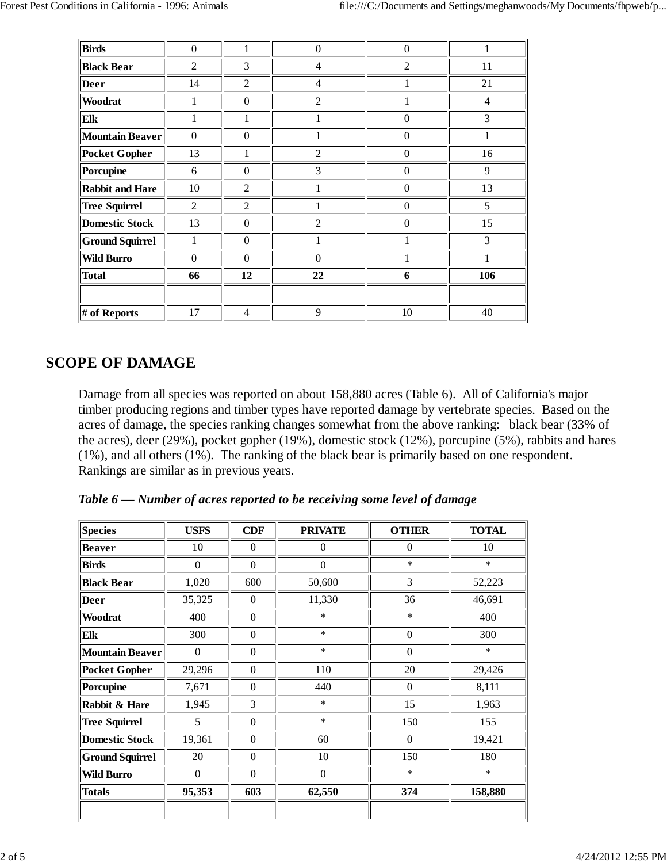| <b>Birds</b>           | $\Omega$         | 1                | $\boldsymbol{0}$ | $\boldsymbol{0}$ | 1              |
|------------------------|------------------|------------------|------------------|------------------|----------------|
| <b>Black Bear</b>      | $\overline{2}$   | 3                | $\overline{4}$   | $\overline{2}$   | 11             |
| <b>Deer</b>            | 14               | $\overline{2}$   | $\overline{4}$   | 1                | 21             |
| Woodrat                | 1                | $\boldsymbol{0}$ | $\overline{2}$   | 1                | $\overline{4}$ |
| Elk                    | 1                | 1                | 1                | $\theta$         | 3              |
| <b>Mountain Beaver</b> | $\boldsymbol{0}$ | $\boldsymbol{0}$ | 1                | $\boldsymbol{0}$ | 1              |
| <b>Pocket Gopher</b>   | 13               | 1                | $\overline{2}$   | $\boldsymbol{0}$ | 16             |
| <b>Porcupine</b>       | 6                | $\boldsymbol{0}$ | 3                | $\Omega$         | 9              |
| <b>Rabbit and Hare</b> | 10               | $\overline{2}$   | 1                | $\mathbf{0}$     | 13             |
| <b>Tree Squirrel</b>   | 2                | $\overline{2}$   | 1                | $\Omega$         | 5              |
| <b>Domestic Stock</b>  | 13               | $\boldsymbol{0}$ | 2                | $\Omega$         | 15             |
| <b>Ground Squirrel</b> | 1                | $\boldsymbol{0}$ | 1                |                  | 3              |
| <b>Wild Burro</b>      | $\Omega$         | $\Omega$         | $\Omega$         | 1                | 1              |
| <b>Total</b>           | 66               | 12               | 22               | 6                | 106            |
|                        |                  |                  |                  |                  |                |
| # of Reports           | 17               | 4                | 9                | 10               | 40             |

## **SCOPE OF DAMAGE**

Damage from all species was reported on about 158,880 acres (Table 6). All of California's major timber producing regions and timber types have reported damage by vertebrate species. Based on the acres of damage, the species ranking changes somewhat from the above ranking: black bear (33% of the acres), deer (29%), pocket gopher (19%), domestic stock (12%), porcupine (5%), rabbits and hares (1%), and all others (1%). The ranking of the black bear is primarily based on one respondent. Rankings are similar as in previous years.

*Table 6 — Number of acres reported to be receiving some level of damage*

| <b>Species</b>         | <b>USFS</b>      | <b>CDF</b>   | <b>PRIVATE</b> | <b>OTHER</b> | <b>TOTAL</b> |
|------------------------|------------------|--------------|----------------|--------------|--------------|
| <b>Beaver</b>          | 10               | $\Omega$     | $\theta$       | $\theta$     | 10           |
| <b>Birds</b>           | $\Omega$         | $\Omega$     | $\theta$       | $\ast$       | $\ast$       |
| <b>Black Bear</b>      | 1,020            | 600          | 50,600         | 3            | 52,223       |
| <b>Deer</b>            | 35,325           | $\Omega$     | 11,330         | 36           | 46,691       |
| Woodrat                | 400              | $\mathbf{0}$ | $\ast$         | $\ast$       | 400          |
| Elk                    | 300              | $\Omega$     | $\ast$         | $\mathbf{0}$ | 300          |
| <b>Mountain Beaver</b> | $\boldsymbol{0}$ | $\mathbf{0}$ | $\ast$         | $\theta$     | $\ast$       |
| <b>Pocket Gopher</b>   | 29,296           | $\mathbf{0}$ | 110            | 20           | 29,426       |
| Porcupine              | 7,671            | $\Omega$     | 440            | $\theta$     | 8,111        |
| Rabbit & Hare          | 1,945            | 3            | $\ast$         | 15           | 1,963        |
| <b>Tree Squirrel</b>   | 5                | $\Omega$     | $\ast$         | 150          | 155          |
| <b>Domestic Stock</b>  | 19,361           | $\mathbf{0}$ | 60             | $\theta$     | 19,421       |
| <b>Ground Squirrel</b> | 20               | $\mathbf{0}$ | 10             | 150          | 180          |
| <b>Wild Burro</b>      | $\mathbf{0}$     | $\Omega$     | $\mathbf{0}$   | $\ast$       | $\ast$       |
| <b>Totals</b>          | 95,353           | 603          | 62,550         | 374          | 158,880      |
|                        |                  |              |                |              |              |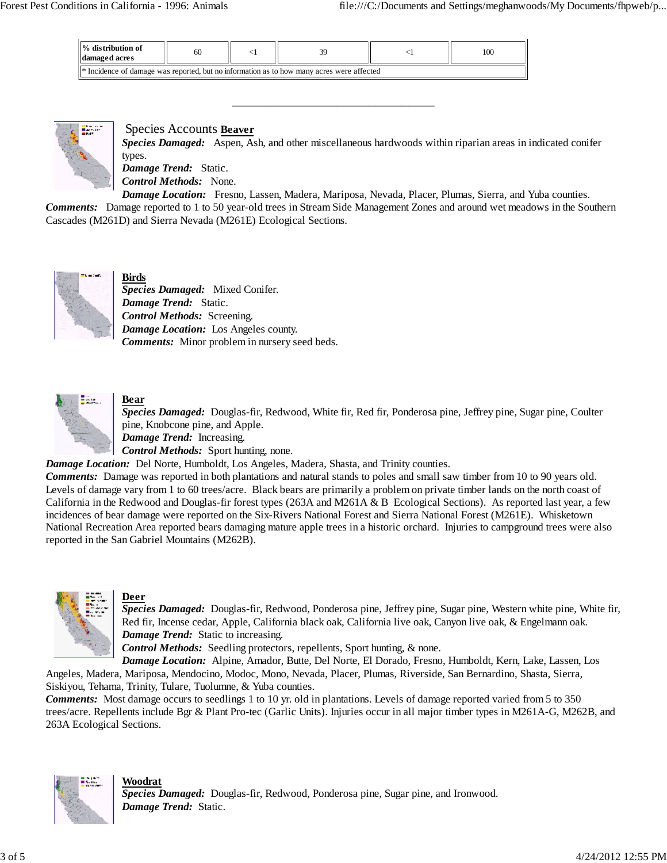| $\mathbf{I}$ % distribution of<br>damaged acres | 60                                                                                                   |  |  |  | 100 |  |  |  |
|-------------------------------------------------|------------------------------------------------------------------------------------------------------|--|--|--|-----|--|--|--|
|                                                 | <sup>*</sup> Incidence of damage was reported, but no information as to how many acres were affected |  |  |  |     |  |  |  |



Species Accounts **Beaver**

*Species Damaged:* Aspen, Ash, and other miscellaneous hardwoods within riparian areas in indicated conifer types.

*Damage Trend:* Static.

*Control Methods:* None.

*Damage Location:* Fresno, Lassen, Madera, Mariposa, Nevada, Placer, Plumas, Sierra, and Yuba counties.

*Comments:* Damage reported to 1 to 50 year-old trees in Stream Side Management Zones and around wet meadows in the Southern Cascades (M261D) and Sierra Nevada (M261E) Ecological Sections.

\_\_\_\_\_\_\_\_\_\_\_\_\_\_\_\_\_\_\_\_\_\_\_\_\_\_\_\_\_\_\_



**Birds**

*Species Damaged:* Mixed Conifer. *Damage Trend:* Static. *Control Methods:* Screening. *Damage Location:* Los Angeles county. *Comments:* Minor problem in nursery seed beds.



#### **Bear**

*Species Damaged:* Douglas-fir, Redwood, White fir, Red fir, Ponderosa pine, Jeffrey pine, Sugar pine, Coulter pine, Knobcone pine, and Apple. *Damage Trend:* Increasing.

*Control Methods:* Sport hunting, none.

*Damage Location:* Del Norte, Humboldt, Los Angeles, Madera, Shasta, and Trinity counties.

*Comments:* Damage was reported in both plantations and natural stands to poles and small saw timber from 10 to 90 years old. Levels of damage vary from 1 to 60 trees/acre. Black bears are primarily a problem on private timber lands on the north coast of California in the Redwood and Douglas-fir forest types (263A and M261A & B Ecological Sections). As reported last year, a few incidences of bear damage were reported on the Six-Rivers National Forest and Sierra National Forest (M261E). Whisketown National Recreation Area reported bears damaging mature apple trees in a historic orchard. Injuries to campground trees were also reported in the San Gabriel Mountains (M262B).



#### **Deer**

*Species Damaged:* Douglas-fir, Redwood, Ponderosa pine, Jeffrey pine, Sugar pine, Western white pine, White fir, Red fir, Incense cedar, Apple, California black oak, California live oak, Canyon live oak, & Engelmann oak. *Damage Trend:* Static to increasing.

*Control Methods:* Seedling protectors, repellents, Sport hunting, & none.

*Damage Location:* Alpine, Amador, Butte, Del Norte, El Dorado, Fresno, Humboldt, Kern, Lake, Lassen, Los Angeles, Madera, Mariposa, Mendocino, Modoc, Mono, Nevada, Placer, Plumas, Riverside, San Bernardino, Shasta, Sierra, Siskiyou, Tehama, Trinity, Tulare, Tuolumne, & Yuba counties.

*Comments:* Most damage occurs to seedlings 1 to 10 yr. old in plantations. Levels of damage reported varied from 5 to 350 trees/acre. Repellents include Bgr & Plant Pro-tec (Garlic Units). Injuries occur in all major timber types in M261A-G, M262B, and 263A Ecological Sections.



**Woodrat**

*Species Damaged:* Douglas-fir, Redwood, Ponderosa pine, Sugar pine, and Ironwood. *Damage Trend:* Static.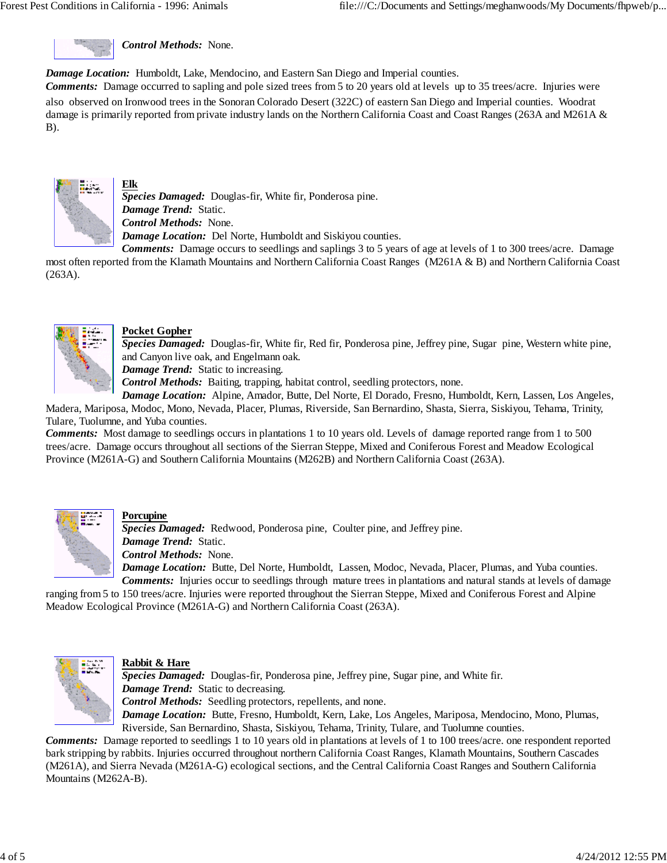*Control Methods:* None.

*Damage Location:* Humboldt, Lake, Mendocino, and Eastern San Diego and Imperial counties.

*Comments:* Damage occurred to sapling and pole sized trees from 5 to 20 years old at levels up to 35 trees/acre. Injuries were also observed on Ironwood trees in the Sonoran Colorado Desert (322C) of eastern San Diego and Imperial counties. Woodrat damage is primarily reported from private industry lands on the Northern California Coast and Coast Ranges (263A and M261A & B).



# **Elk**

*Species Damaged:* Douglas-fir, White fir, Ponderosa pine. *Damage Trend:* Static. *Control Methods:* None. *Damage Location:* Del Norte, Humboldt and Siskiyou counties.

*Comments:* Damage occurs to seedlings and saplings 3 to 5 years of age at levels of 1 to 300 trees/acre. Damage most often reported from the Klamath Mountains and Northern California Coast Ranges (M261A & B) and Northern California Coast (263A).



#### **Pocket Gopher**

*Species Damaged:* Douglas-fir, White fir, Red fir, Ponderosa pine, Jeffrey pine, Sugar pine, Western white pine, and Canyon live oak, and Engelmann oak.

*Damage Trend:* Static to increasing.

*Control Methods:* Baiting, trapping, habitat control, seedling protectors, none.

*Damage Location:* Alpine, Amador, Butte, Del Norte, El Dorado, Fresno, Humboldt, Kern, Lassen, Los Angeles, Madera, Mariposa, Modoc, Mono, Nevada, Placer, Plumas, Riverside, San Bernardino, Shasta, Sierra, Siskiyou, Tehama, Trinity, Tulare, Tuolumne, and Yuba counties.

*Comments:* Most damage to seedlings occurs in plantations 1 to 10 years old. Levels of damage reported range from 1 to 500 trees/acre. Damage occurs throughout all sections of the Sierran Steppe, Mixed and Coniferous Forest and Meadow Ecological Province (M261A-G) and Southern California Mountains (M262B) and Northern California Coast (263A).



#### **Porcupine**

*Species Damaged:* Redwood, Ponderosa pine, Coulter pine, and Jeffrey pine. *Damage Trend:* Static. *Control Methods:* None.

*Damage Location:* Butte, Del Norte, Humboldt, Lassen, Modoc, Nevada, Placer, Plumas, and Yuba counties. *Comments:* Injuries occur to seedlings through mature trees in plantations and natural stands at levels of damage

ranging from 5 to 150 trees/acre. Injuries were reported throughout the Sierran Steppe, Mixed and Coniferous Forest and Alpine Meadow Ecological Province (M261A-G) and Northern California Coast (263A).



#### **Rabbit & Hare**

*Species Damaged:* Douglas-fir, Ponderosa pine, Jeffrey pine, Sugar pine, and White fir. *Damage Trend:* Static to decreasing. *Control Methods:* Seedling protectors, repellents, and none. *Damage Location:* Butte, Fresno, Humboldt, Kern, Lake, Los Angeles, Mariposa, Mendocino, Mono, Plumas,

Riverside, San Bernardino, Shasta, Siskiyou, Tehama, Trinity, Tulare, and Tuolumne counties.

*Comments:* Damage reported to seedlings 1 to 10 years old in plantations at levels of 1 to 100 trees/acre. one respondent reported bark stripping by rabbits. Injuries occurred throughout northern California Coast Ranges, Klamath Mountains, Southern Cascades (M261A), and Sierra Nevada (M261A-G) ecological sections, and the Central California Coast Ranges and Southern California Mountains (M262A-B).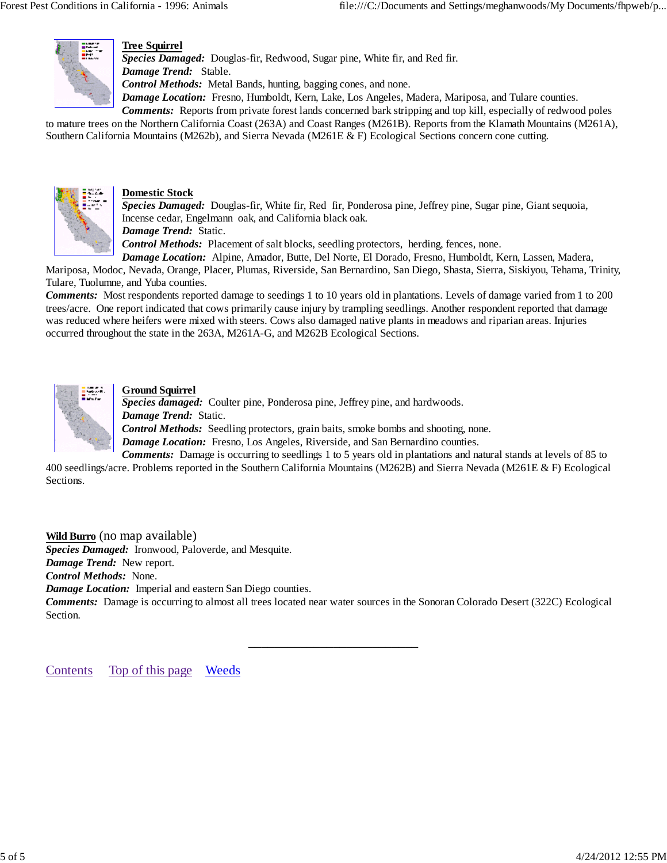

#### **Tree Squirrel**

*Species Damaged:* Douglas-fir, Redwood, Sugar pine, White fir, and Red fir. *Damage Trend:* Stable. *Control Methods:* Metal Bands, hunting, bagging cones, and none.

*Damage Location:* Fresno, Humboldt, Kern, Lake, Los Angeles, Madera, Mariposa, and Tulare counties.

*Comments:* Reports from private forest lands concerned bark stripping and top kill, especially of redwood poles

to mature trees on the Northern California Coast (263A) and Coast Ranges (M261B). Reports from the Klamath Mountains (M261A), Southern California Mountains (M262b), and Sierra Nevada (M261E & F) Ecological Sections concern cone cutting.



#### **Domestic Stock**

*Species Damaged:* Douglas-fir, White fir, Red fir, Ponderosa pine, Jeffrey pine, Sugar pine, Giant sequoia, Incense cedar, Engelmann oak, and California black oak.

*Damage Trend:* Static.

*Control Methods:* Placement of salt blocks, seedling protectors, herding, fences, none.

*Damage Location:* Alpine, Amador, Butte, Del Norte, El Dorado, Fresno, Humboldt, Kern, Lassen, Madera,

Mariposa, Modoc, Nevada, Orange, Placer, Plumas, Riverside, San Bernardino, San Diego, Shasta, Sierra, Siskiyou, Tehama, Trinity, Tulare, Tuolumne, and Yuba counties.

*Comments:* Most respondents reported damage to seedings 1 to 10 years old in plantations. Levels of damage varied from 1 to 200 trees/acre. One report indicated that cows primarily cause injury by trampling seedlings. Another respondent reported that damage was reduced where heifers were mixed with steers. Cows also damaged native plants in meadows and riparian areas. Injuries occurred throughout the state in the 263A, M261A-G, and M262B Ecological Sections.



#### **Ground Squirrel**

*Species damaged:* Coulter pine, Ponderosa pine, Jeffrey pine, and hardwoods. *Damage Trend:* Static. *Control Methods:* Seedling protectors, grain baits, smoke bombs and shooting, none.

*Damage Location:* Fresno, Los Angeles, Riverside, and San Bernardino counties.

*Comments:* Damage is occurring to seedlings 1 to 5 years old in plantations and natural stands at levels of 85 to 400 seedlings/acre. Problems reported in the Southern California Mountains (M262B) and Sierra Nevada (M261E & F) Ecological Sections.

#### **Wild Burro** (no map available)

*Species Damaged:* Ironwood, Paloverde, and Mesquite.

*Damage Trend:* New report.

*Control Methods:* None.

*Damage Location:* Imperial and eastern San Diego counties.

*Comments:* Damage is occurring to almost all trees located near water sources in the Sonoran Colorado Desert (322C) Ecological Section.

\_\_\_\_\_\_\_\_\_\_\_\_\_\_\_\_\_\_\_\_\_\_\_\_\_\_

Contents Top of this page Weeds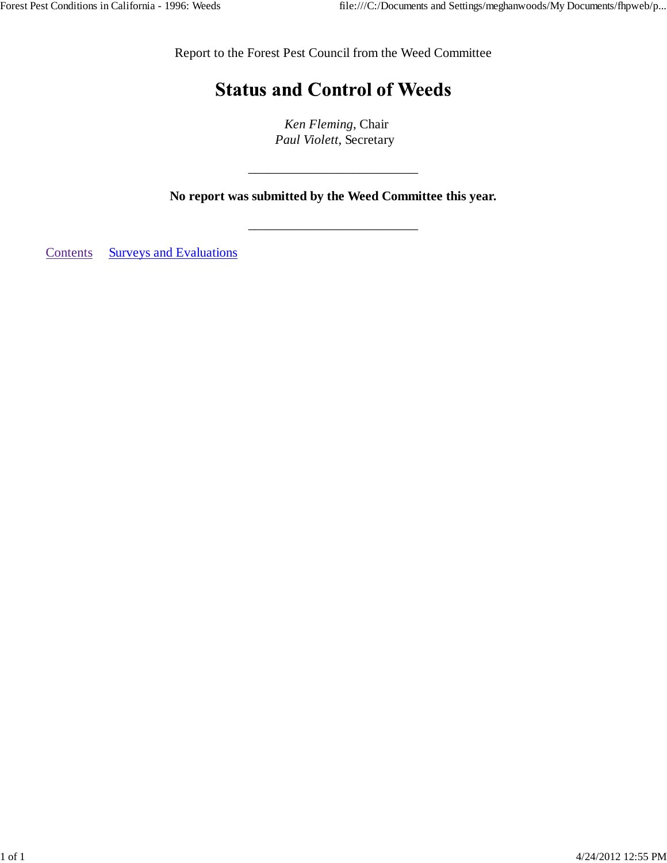Report to the Forest Pest Council from the Weed Committee

# **Status and Control of Weeds**

 *Ken Fleming*, Chair *Paul Violett*, Secretary

**No report was submitted by the Weed Committee this year.**

\_\_\_\_\_\_\_\_\_\_\_\_\_\_\_\_\_\_\_\_\_\_\_\_\_\_

\_\_\_\_\_\_\_\_\_\_\_\_\_\_\_\_\_\_\_\_\_\_\_\_\_\_

Contents Surveys and Evaluations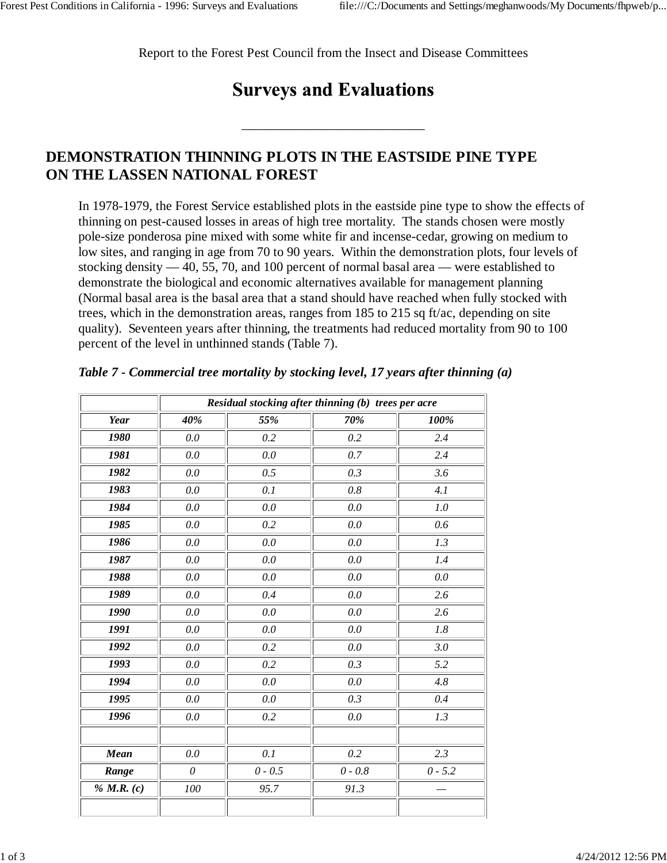Report to the Forest Pest Council from the Insect and Disease Committees

# **Surveys and Evaluations**

\_\_\_\_\_\_\_\_\_\_\_\_\_\_\_\_\_\_\_\_\_\_\_\_\_\_\_\_

# **DEMONSTRATION THINNING PLOTS IN THE EASTSIDE PINE TYPE ON THE LASSEN NATIONAL FOREST**

In 1978-1979, the Forest Service established plots in the eastside pine type to show the effects of thinning on pest-caused losses in areas of high tree mortality. The stands chosen were mostly pole-size ponderosa pine mixed with some white fir and incense-cedar, growing on medium to low sites, and ranging in age from 70 to 90 years. Within the demonstration plots, four levels of stocking density — 40, 55, 70, and 100 percent of normal basal area — were established to demonstrate the biological and economic alternatives available for management planning (Normal basal area is the basal area that a stand should have reached when fully stocked with trees, which in the demonstration areas, ranges from 185 to 215 sq ft/ac, depending on site quality). Seventeen years after thinning, the treatments had reduced mortality from 90 to 100 percent of the level in unthinned stands (Table 7).

|             |          | Residual stocking after thinning (b) trees per acre |           |           |
|-------------|----------|-----------------------------------------------------|-----------|-----------|
| <b>Year</b> | 40%      | 55%                                                 | 70%       | 100%      |
| 1980        | 0.0      | 0.2                                                 | 0.2       | 2.4       |
| 1981        | 0.0      | 0.0                                                 | 0.7       | 2.4       |
| 1982        | 0.0      | 0.5                                                 | 0.3       | 3.6       |
| 1983        | 0.0      | 0.1                                                 | 0.8       | 4.1       |
| 1984        | 0.0      | 0.0                                                 | 0.0       | 1.0       |
| 1985        | 0.0      | 0.2                                                 | 0.0       | 0.6       |
| 1986        | 0.0      | 0.0                                                 | 0.0       | 1.3       |
| 1987        | 0.0      | 0.0                                                 | 0.0       | 1.4       |
| 1988        | 0.0      | 0.0                                                 | 0.0       | 0.0       |
| 1989        | 0.0      | 0.4                                                 | 0.0       | 2.6       |
| 1990        | $0.0\,$  | 0.0                                                 | 0.0       | 2.6       |
| 1991        | 0.0      | 0.0                                                 | 0.0       | 1.8       |
| 1992        | 0.0      | 0.2                                                 | 0.0       | 3.0       |
| 1993        | 0.0      | 0.2                                                 | 0.3       | 5.2       |
| 1994        | 0.0      | 0.0                                                 | 0.0       | 4.8       |
| 1995        | 0.0      | 0.0                                                 | 0.3       | 0.4       |
| 1996        | 0.0      | 0.2                                                 | 0.0       | 1.3       |
|             |          |                                                     |           |           |
| Mean        | 0.0      | 0.1                                                 | 0.2       | 2.3       |
| Range       | $\theta$ | $0 - 0.5$                                           | $0 - 0.8$ | $0 - 5.2$ |
| % M.R. (c)  | 100      | 95.7                                                | 91.3      |           |
|             |          |                                                     |           |           |

*Table 7 - Commercial tree mortality by stocking level, 17 years after thinning (a)*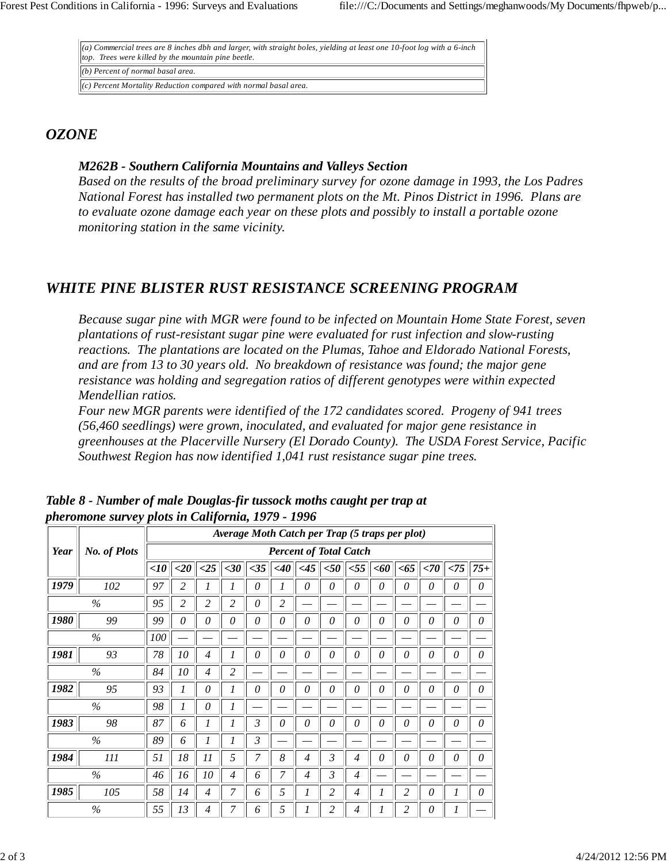*(a) Commercial trees are 8 inches dbh and larger, with straight boles, yielding at least one 10-foot log with a 6-inch top. Trees were killed by the mountain pine beetle. (b) Percent of normal basal area.*

*(c) Percent Mortality Reduction compared with normal basal area.*

## *OZONE*

#### *M262B - Southern California Mountains and Valleys Section*

*Based on the results of the broad preliminary survey for ozone damage in 1993, the Los Padres National Forest has installed two permanent plots on the Mt. Pinos District in 1996. Plans are to evaluate ozone damage each year on these plots and possibly to install a portable ozone monitoring station in the same vicinity.*

## *WHITE PINE BLISTER RUST RESISTANCE SCREENING PROGRAM*

*Because sugar pine with MGR were found to be infected on Mountain Home State Forest, seven plantations of rust-resistant sugar pine were evaluated for rust infection and slow-rusting reactions. The plantations are located on the Plumas, Tahoe and Eldorado National Forests, and are from 13 to 30 years old. No breakdown of resistance was found; the major gene resistance was holding and segregation ratios of different genotypes were within expected Mendellian ratios.*

*Four new MGR parents were identified of the 172 candidates scored. Progeny of 941 trees (56,460 seedlings) were grown, inoculated, and evaluated for major gene resistance in greenhouses at the Placerville Nursery (El Dorado County). The USDA Forest Service, Pacific Southwest Region has now identified 1,041 rust resistance sugar pine trees.*

|      |                     |            | Average Moth Catch per Trap (5 traps per plot) |                |                |     |        |                |                |                |          |                |          |          |          |
|------|---------------------|------------|------------------------------------------------|----------------|----------------|-----|--------|----------------|----------------|----------------|----------|----------------|----------|----------|----------|
| Year | <b>No. of Plots</b> |            | <b>Percent of Total Catch</b>                  |                |                |     |        |                |                |                |          |                |          |          |          |
|      |                     | $<$ 10     | $\langle 20 \vert$                             | <25            | $<$ 30         | <35 | $<$ 40 | <45            | $50$           | $<$ 55         | $<$ 60   | $<$ 65         | $<$ 70   | < 75     | $75+$    |
| 1979 | 102                 | 97         | 2                                              | 1              | 1              | 0   | 1      | 0              | $\theta$       | 0              | 0        | 0              | 0        | 0        | 0        |
|      | $\%$                | 95         | 2                                              | 2              | 2              | 0   | 2      |                |                |                |          |                |          |          |          |
| 1980 | 99                  | 99         | 0                                              | 0              | 0              | 0   | 0      | $\theta$       | $\theta$       | 0              | $\theta$ | 0              | 0        | 0        | $\theta$ |
|      | $\%$                | <i>100</i> |                                                |                |                |     |        |                |                |                |          |                |          |          |          |
| 1981 | 93                  | 78         | 10                                             | $\overline{4}$ |                | 0   | 0      | $\theta$       | $\theta$       | $\theta$       | $\theta$ | 0              | 0        | 0        | $\theta$ |
|      | $\%$                | 84         | 10                                             | $\overline{4}$ | 2              |     |        |                |                |                |          |                |          |          |          |
| 1982 | 95                  | 93         |                                                | 0              | 1              | 0   | 0      | 0              | $\theta$       | 0              | $\theta$ | 0              | $\theta$ | $\theta$ | 0        |
|      | $\%$                | 98         |                                                | 0              | 1              |     |        |                |                |                |          |                |          |          |          |
| 1983 | 98                  | 87         | 6                                              | 1              |                | 3   | 0      | 0              | $\theta$       | 0              | $\theta$ | 0              | 0        | 0        | 0        |
|      | $\%$                | 89         | 6                                              | 1              | 1              | 3   |        |                |                |                |          |                |          |          |          |
| 1984 | 111                 | 51         | 18                                             | $_{11}$        | 5              | 7   | 8      | $\overline{4}$ | 3              | $\overline{4}$ | 0        | 0              | 0        | 0        | $\theta$ |
|      | $\%$                | 46         | 16                                             | 10             | $\overline{4}$ | 6   | 7      | $\overline{4}$ | $\mathfrak{Z}$ | $\overline{4}$ |          |                |          |          |          |
| 1985 | 105                 | 58         | 14                                             | 4              | 7              | 6   | 5      | 1              | 2              | 4              | 1        | $\overline{2}$ | $\theta$ | 1        | 0        |
|      | $\%$                | 55         | 13                                             | 4              |                | 6   | 5      |                | 2              | 4              |          | 2              | 0        |          |          |

*Table 8 - Number of male Douglas-fir tussock moths caught per trap at pheromone survey plots in California, 1979 - 1996*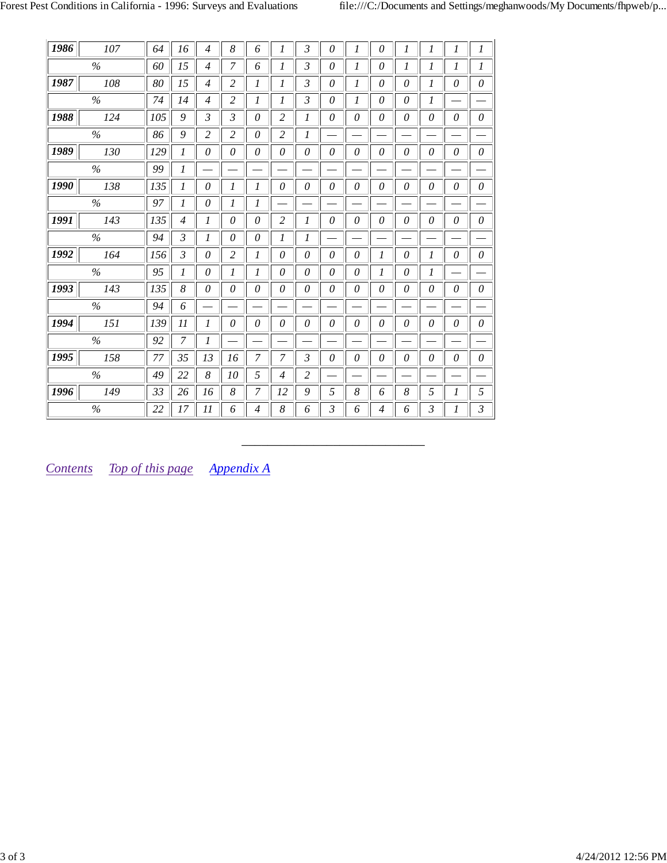| 1986<br>107 | 64  | 16                       | $\overline{4}$ | 8              | 6              | 1              | $\mathfrak{Z}$ | $\theta$ | 1        | 0              | 1        | 1        | 1 | $\boldsymbol{l}$              |
|-------------|-----|--------------------------|----------------|----------------|----------------|----------------|----------------|----------|----------|----------------|----------|----------|---|-------------------------------|
| $\%$        | 60  | 15                       | $\overline{4}$ | 7              | 6              | 1              | 3              | $\theta$ | 1        | 0              | 1        | 1        | 1 | 1                             |
| 1987<br>108 | 80  | 15                       | $\overline{4}$ | 2              | 1              | 1              | $\mathfrak{Z}$ | 0        | 1        | 0              | $\theta$ | 1        | 0 | $\theta$                      |
| $\%$        | 74  | 14                       | $\overline{4}$ | $\overline{2}$ | 1              | 1              | $\mathfrak{Z}$ | 0        | 1        | $\theta$       | 0        | 1        |   |                               |
| 1988<br>124 | 105 | 9                        | $\mathfrak{Z}$ | $\mathfrak{Z}$ | $\theta$       | $\overline{2}$ | 1              | $\theta$ | $\theta$ | 0              | $\theta$ | $\theta$ | 0 | 0                             |
| %           | 86  | 9                        | 2              | 2              | 0              | 2              | 1              |          |          |                |          |          |   | $\qquad \qquad$               |
| 1989<br>130 | 129 | 1                        | 0              | 0              | 0              | $\theta$       | $\theta$       | $\theta$ | 0        | 0              | 0        | 0        | 0 | $\theta$                      |
| %           | 99  | 1                        |                |                |                |                |                |          |          |                |          |          |   |                               |
| 1990<br>138 | 135 | 1                        | $\theta$       | 1              | 1              | 0              | 0              | $\theta$ | $\theta$ | 0              | $\theta$ | $\theta$ | 0 | $\theta$                      |
| $\%$        | 97  | 1                        | 0              | 1              | 1              |                |                |          |          | –              |          |          |   | $\overline{\phantom{0}}$      |
| 143<br>1991 | 135 | $\overline{\mathcal{A}}$ | $\mathcal{I}$  | 0              | $\theta$       | $\overline{2}$ | 1              | $\theta$ | $\theta$ | $\theta$       | $\theta$ | $\theta$ | 0 | $\theta$                      |
| $\%$        | 94  | 3                        | 1              | 0              | 0              | 1              | 1              |          |          |                |          |          |   | $\overbrace{\phantom{13333}}$ |
| 1992<br>164 | 156 | 3                        | 0              | $\overline{2}$ | 1              | 0              | $\theta$       | 0        | $\theta$ | 1              | 0        | 1        | 0 | $\theta$                      |
| $\%$        | 95  | $\mathcal{I}$            | $\theta$       | 1              | 1              | $\theta$       | $\theta$       | $\theta$ | $\theta$ | 1              | $\theta$ | 1        |   |                               |
| 143<br>1993 | 135 | 8                        | 0              | 0              | 0              | $\theta$       | $\theta$       | $\theta$ | $\theta$ | 0              | $\theta$ | $\theta$ | 0 | $\mathcal O$                  |
| $\%$        | 94  | 6                        |                |                |                |                |                |          |          |                |          |          |   |                               |
| 151<br>1994 | 139 | $_{11}$                  | 1              | 0              | 0              | $\theta$       | $\theta$       | $\theta$ | $\theta$ | $\theta$       | $\theta$ | $\theta$ | 0 | $\theta$                      |
| $\%$        | 92  | 7                        | 1              |                |                |                |                |          |          |                |          |          |   |                               |
| 1995<br>158 | 77  | 35                       | 13             | 16             | 7              | 7              | 3              | 0        | 0        | 0              | 0        | 0        | 0 | 0                             |
| $\%$        | 49  | 22                       | 8              | 10             | 5              | $\overline{4}$ | $\overline{2}$ |          |          |                |          |          |   |                               |
| 149<br>1996 | 33  | 26                       | 16             | 8              | 7              | 12             | 9              | 5        | 8        | 6              | 8        | 5        | 1 | 5                             |
| $\%$        | 22  | 17                       | 11             | 6              | $\overline{4}$ | 8              | 6              | 3        | 6        | $\overline{4}$ | 6        | 3        | 1 | 3                             |

*\_\_\_\_\_\_\_\_\_\_\_\_\_\_\_\_\_\_\_\_\_\_\_\_\_\_\_\_*

*Contents Top of this page Appendix A*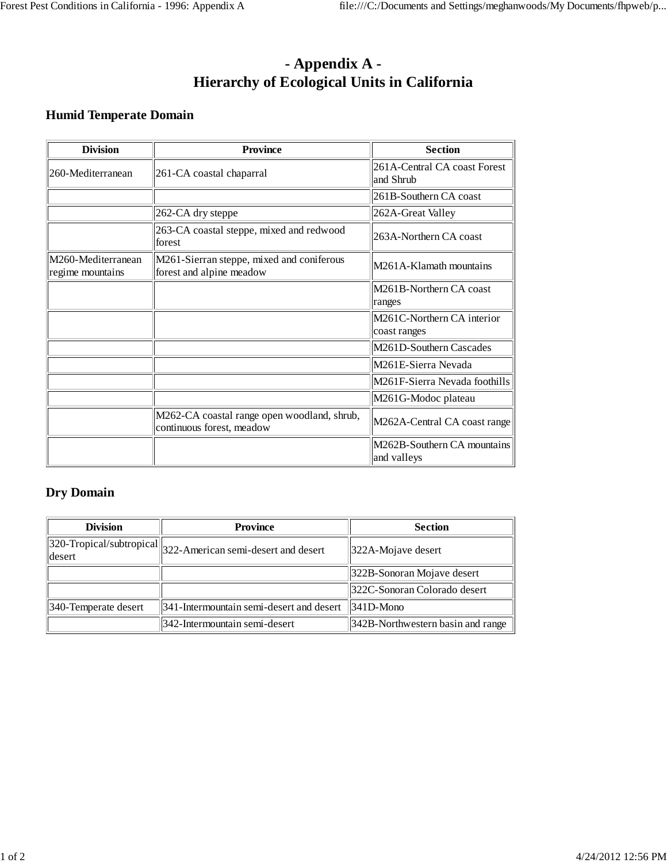# **- Appendix A - Hierarchy of Ecological Units in California**

## **Humid Temperate Domain**

| <b>Division</b>                        | <b>Province</b>                                                          | <b>Section</b>                             |
|----------------------------------------|--------------------------------------------------------------------------|--------------------------------------------|
| 260-Mediterranean                      | 261-CA coastal chaparral                                                 | 261A-Central CA coast Forest<br>land Shrub |
|                                        |                                                                          | 261B-Southern CA coast                     |
|                                        | 262-CA dry steppe                                                        | 262A-Great Valley                          |
|                                        | 263-CA coastal steppe, mixed and redwood<br>forest                       | 263A-Northern CA coast                     |
| M260-Mediterranean<br>regime mountains | M261-Sierran steppe, mixed and coniferous<br>forest and alpine meadow    | M261A-Klamath mountains                    |
|                                        |                                                                          | M261B-Northern CA coast<br>ranges          |
|                                        |                                                                          | M261C-Northern CA interior<br>coast ranges |
|                                        |                                                                          | M261D-Southern Cascades                    |
|                                        |                                                                          | M261E-Sierra Nevada                        |
|                                        |                                                                          | M261F-Sierra Nevada foothills              |
|                                        |                                                                          | M261G-Modoc plateau                        |
|                                        | M262-CA coastal range open woodland, shrub,<br>continuous forest, meadow | M262A-Central CA coast range               |
|                                        |                                                                          | M262B-Southern CA mountains<br>and valleys |

#### **Dry Domain**

| <b>Division</b>      | <b>Province</b>                                                                             | <b>Section</b>                    |
|----------------------|---------------------------------------------------------------------------------------------|-----------------------------------|
| desert               | $\sqrt{320}\text{-Tropical/subtropical}\big\ _{322}\text{-American semi-desert and desert}$ | 322A-Mojave desert                |
|                      |                                                                                             | 322B-Sonoran Mojave desert        |
|                      |                                                                                             | 322C-Sonoran Colorado desert      |
| 340-Temperate desert | 341-Intermountain semi-desert and desert                                                    | $\parallel$ 341D-Mono             |
|                      | 342-Intermountain semi-desert                                                               | 342B-Northwestern basin and range |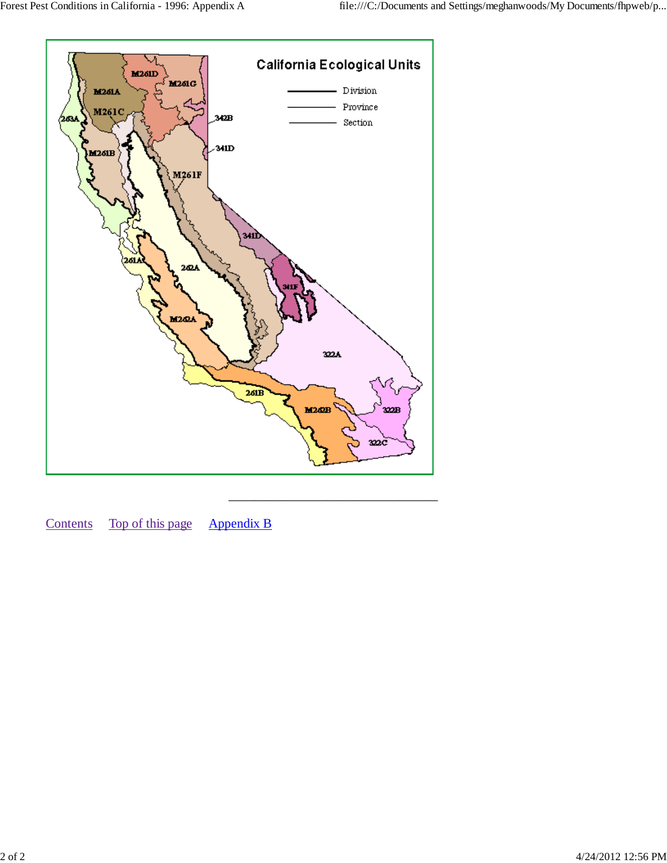

Contents Top of this page Appendix B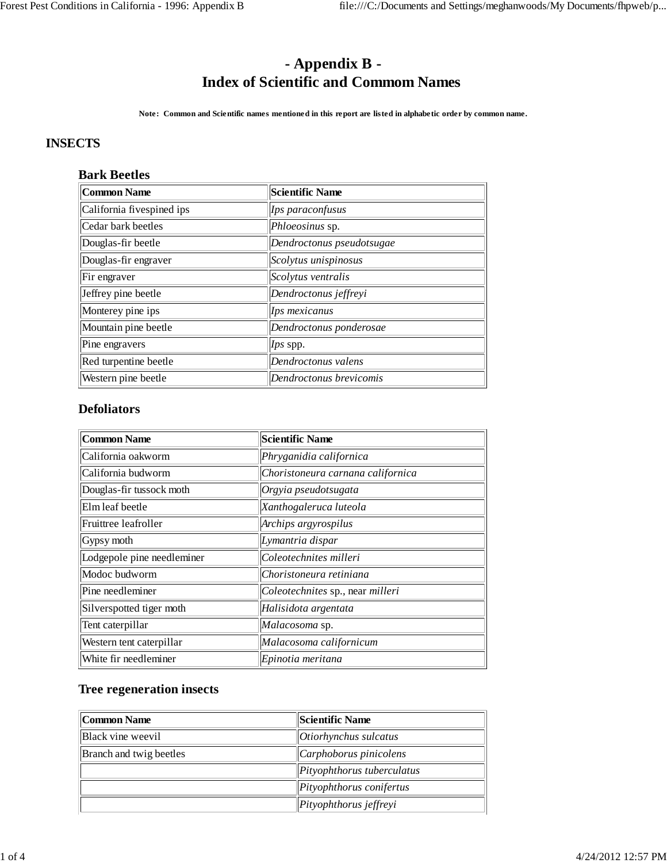# **- Appendix B - Index of Scientific and Commom Names**

**Note: Common and Scientific names mentioned in this report are listed in alphabetic order by common name.**

#### **INSECTS**

#### **Bark Beetles**

| Common Name               | <b>Scientific Name</b>    |
|---------------------------|---------------------------|
| California fivespined ips | Ips paraconfusus          |
| Cedar bark beetles        | Phloeosinus sp.           |
| Douglas-fir beetle        | Dendroctonus pseudotsugae |
| Douglas-fir engraver      | Scolytus unispinosus      |
| Fir engraver              | Scolytus ventralis        |
| Jeffrey pine beetle       | Dendroctonus jeffreyi     |
| Monterey pine ips         | Ips mexicanus             |
| Mountain pine beetle      | Dendroctonus ponderosae   |
| Pine engravers            | Ips spp.                  |
| Red turpentine beetle     | Dendroctonus valens       |
| Western pine beetle       | Dendroctonus brevicomis   |

#### **Defoliators**

| <b>Common Name</b>         | <b>Scientific Name</b>            |
|----------------------------|-----------------------------------|
| California oakworm         | Phryganidia californica           |
| California budworm         | Choristoneura carnana californica |
| Douglas-fir tussock moth   | Orgyia pseudotsugata              |
| Elm leaf beetle            | Xanthogaleruca luteola            |
| Fruittree leafroller       | Archips argyrospilus              |
| Gypsy moth                 | Lymantria dispar                  |
| Lodgepole pine needleminer | Coleotechnites milleri            |
| Modoc budworm              | Choristoneura retiniana           |
| Pine needleminer           | Coleotechnites sp., near milleri  |
| Silverspotted tiger moth   | Halisidota argentata              |
| Tent caterpillar           | Malacosoma sp.                    |
| Western tent caterpillar   | Malacosoma californicum           |
| White fir needleminer      | Epinotia meritana                 |

#### **Tree regeneration insects**

| Common Name                    | Scientific Name            |
|--------------------------------|----------------------------|
| Black vine weevil              | Otiorhynchus sulcatus      |
| <b>Branch</b> and twig beetles | $ $ Carphoborus pinicolens |
|                                | Pityophthorus tuberculatus |
|                                | Pityophthorus conifertus   |
|                                | Pityophthorus jeffreyi     |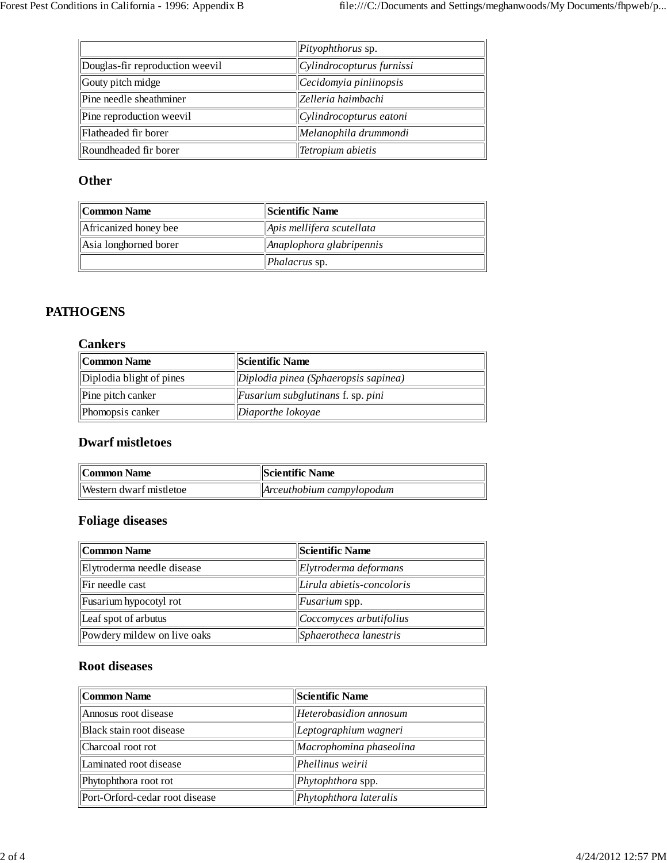|                                 | Pityophthorus sp.         |
|---------------------------------|---------------------------|
| Douglas-fir reproduction weevil | Cylindrocopturus furnissi |
| Gouty pitch midge               | Cecidomyia piniinopsis    |
| Pine needle sheathminer         | Zelleria haimbachi        |
| Pine reproduction weevil        | Cylindrocopturus eatoni   |
| Flatheaded fir borer            | Melanophila drummondi     |
| Roundheaded fir borer           | Tetropium abietis         |

#### **Other**

| Common Name           | Scientific Name                   |
|-----------------------|-----------------------------------|
| Africanized honey bee | Apis mellifera scutellata         |
| Asia longhorned borer | Anaplophora glabripennis          |
|                       | $\mathbf{P}$ <i>Phalacrus</i> sp. |

#### **PATHOGENS**

#### **Cankers**

| Common Name              | Scientific Name                                      |
|--------------------------|------------------------------------------------------|
| Diplodia blight of pines | $\vert$ Diplodia pinea (Sphaeropsis sapinea)         |
| Pine pitch canker        | $\left\  \right\ $ Fusarium subglutinans f. sp. pini |
| Phomopsis canker         | Diaporthe lokoyae                                    |

#### **Dwarf mistletoes**

| Common Name             | <b>Scientific Name</b>                    |  |
|-------------------------|-------------------------------------------|--|
| Western dwarf mistletoe | $\Delta$ <i>Receuthobium campylopodum</i> |  |

#### **Foliage diseases**

| Common Name                 | <b>Scientific Name</b>     |  |
|-----------------------------|----------------------------|--|
| Elytroderma needle disease  | Elytroderma deformans      |  |
| Fir needle cast             | Lirula abietis-concoloris  |  |
| Fusarium hypocotyl rot      | <i>Fusarium</i> spp.       |  |
| Leaf spot of arbutus        | $ Coccomyces$ arbutifolius |  |
| Powdery mildew on live oaks | Sphaerotheca lanestris     |  |

#### **Root diseases**

| Common Name                    | <b>Scientific Name</b>         |
|--------------------------------|--------------------------------|
| Annosus root disease           | Heterobasidion annosum         |
| Black stain root disease       | $\Delta$ Leptographium wagneri |
| Charcoal root rot              | Macrophomina phaseolina        |
| Laminated root disease         | Phellinus weirii               |
| Phytophthora root rot          | Phytophthora spp.              |
| Port-Orford-cedar root disease | Phytophthora lateralis         |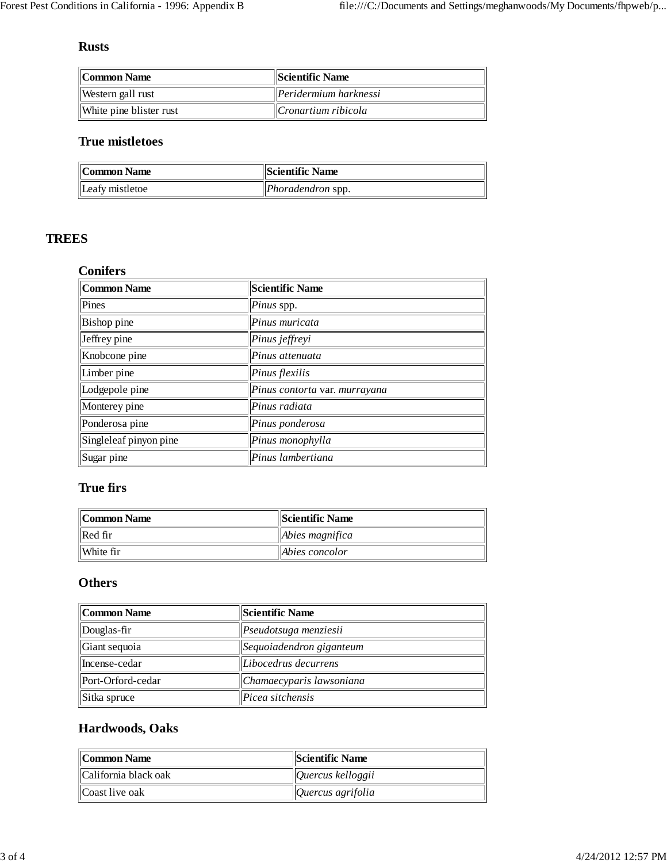## **Rusts**

| Common Name             | Scientific Name                        |  |
|-------------------------|----------------------------------------|--|
| Western gall rust       | $\left  \right $ Peridermium harknessi |  |
| White pine blister rust | Cronartium ribicola                    |  |

## **True mistletoes**

| Common Name     | <b>Scientific Name</b>   |
|-----------------|--------------------------|
| Leafy mistletoe | <i>Phoradendron</i> spp. |

## **TREES**

#### **Conifers**

| <b>Common Name</b>     | <b>Scientific Name</b>        |
|------------------------|-------------------------------|
| Pines                  | Pinus spp.                    |
| Bishop pine            | Pinus muricata                |
| Jeffrey pine           | Pinus jeffreyi                |
| Knobcone pine          | Pinus attenuata               |
| Limber pine            | Pinus flexilis                |
| Lodgepole pine         | Pinus contorta var. murrayana |
| Monterey pine          | Pinus radiata                 |
| Ponderosa pine         | Pinus ponderosa               |
| Singleleaf pinyon pine | Pinus monophylla              |
| Sugar pine             | Pinus lambertiana             |

## **True firs**

| Common Name | <b>  Scientific Name</b> |  |
|-------------|--------------------------|--|
| Red fir     | $\Delta$ bies magnifica  |  |
| White fir   | Abies concolor           |  |

## **Others**

| Common Name       | <b>Scientific Name</b>   |
|-------------------|--------------------------|
| Douglas-fir       | Pseudotsuga menziesii    |
| Giant sequoia     | Sequoiadendron giganteum |
| Incense-cedar     | Libocedrus decurrens     |
| Port-Orford-cedar | Chamaecyparis lawsoniana |
| Sitka spruce      | Picea sitchensis         |

## **Hardwoods, Oaks**

| Common Name          | <b>Scientific Name</b>              |
|----------------------|-------------------------------------|
| California black oak | $\sqrt{Q}$ uercus kelloggii         |
| Coast live oak       | $\sqrt{Q}$ <i>Quercus agrifolia</i> |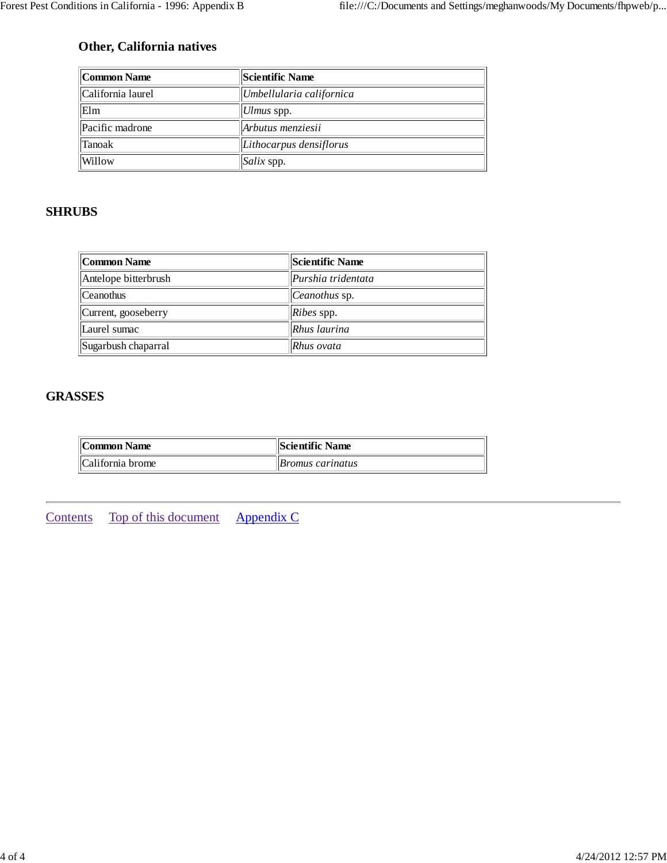## **Other, California natives**

| Common Name       | <b>Scientific Name</b>   |
|-------------------|--------------------------|
| California laurel | Umbellularia californica |
| Elm               | Ulmus spp.               |
| Pacific madrone   | Arbutus menziesii        |
| Tanoak            | Lithocarpus densiflorus  |
| Willow            | Salix spp.               |

## **SHRUBS**

| Common Name          | <b>Scientific Name</b> |
|----------------------|------------------------|
| Antelope bitterbrush | Purshia tridentata     |
| <b>Ceanothus</b>     | <i>Ceanothus</i> sp.   |
| Current, gooseberry  | $Ribes$ spp.           |
| Laurel sumac         | Rhus laurina           |
| Sugarbush chaparral  | Rhus ovata             |

## **GRASSES**

| Common Name      | <b>Scientific Name</b>  |
|------------------|-------------------------|
| California brome | <i>Bromus carinatus</i> |

Contents Top of this document Appendix C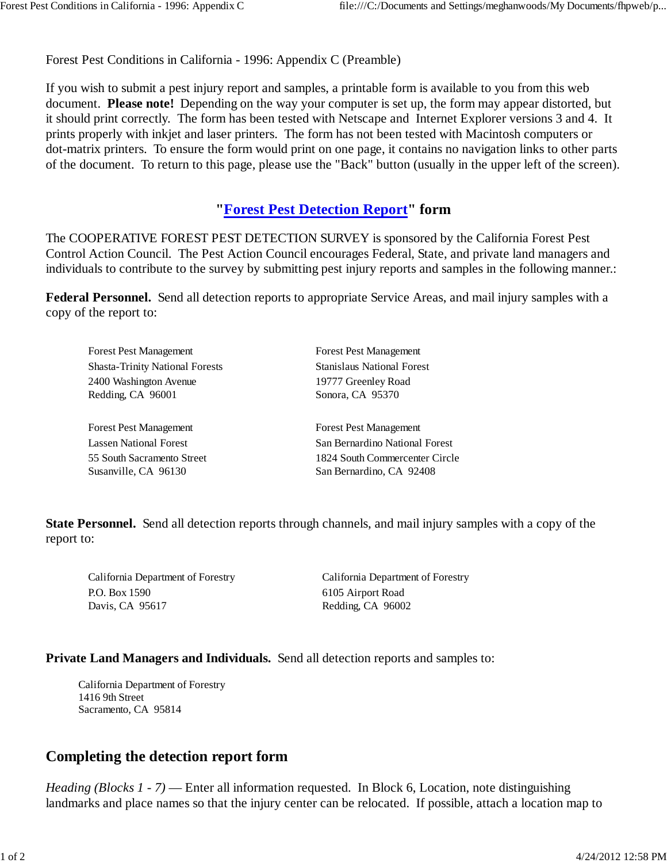Forest Pest Conditions in California - 1996: Appendix C (Preamble)

If you wish to submit a pest injury report and samples, a printable form is available to you from this web document. **Please note!** Depending on the way your computer is set up, the form may appear distorted, but it should print correctly. The form has been tested with Netscape and Internet Explorer versions 3 and 4. It prints properly with inkjet and laser printers. The form has not been tested with Macintosh computers or dot-matrix printers. To ensure the form would print on one page, it contains no navigation links to other parts of the document. To return to this page, please use the "Back" button (usually in the upper left of the screen).

## **"Forest Pest Detection Report" form**

The COOPERATIVE FOREST PEST DETECTION SURVEY is sponsored by the California Forest Pest Control Action Council. The Pest Action Council encourages Federal, State, and private land managers and individuals to contribute to the survey by submitting pest injury reports and samples in the following manner.:

**Federal Personnel.** Send all detection reports to appropriate Service Areas, and mail injury samples with a copy of the report to:

| <b>Forest Pest Management</b>          | <b>Forest Pest Management</b>     |
|----------------------------------------|-----------------------------------|
| <b>Shasta-Trinity National Forests</b> | <b>Stanislaus National Forest</b> |
| 2400 Washington Avenue                 | 19777 Greenley Road               |
| Redding, CA 96001                      | Sonora, CA 95370                  |
|                                        |                                   |
| <b>Forest Pest Management</b>          | <b>Forest Pest Management</b>     |
| Lassen National Forest                 | San Bernardino National Forest    |
| 55 South Sacramento Street             | 1824 South Commercenter Circle    |
| Susanville, CA 96130                   | San Bernardino, CA 92408          |
|                                        |                                   |

**State Personnel.** Send all detection reports through channels, and mail injury samples with a copy of the report to:

California Department of Forestry P.O. Box 1590 Davis, CA 95617

California Department of Forestry 6105 Airport Road Redding, CA 96002

#### **Private Land Managers and Individuals.** Send all detection reports and samples to:

California Department of Forestry 1416 9th Street Sacramento, CA 95814

# **Completing the detection report form**

*Heading (Blocks 1 - 7)* — Enter all information requested. In Block 6, Location, note distinguishing landmarks and place names so that the injury center can be relocated. If possible, attach a location map to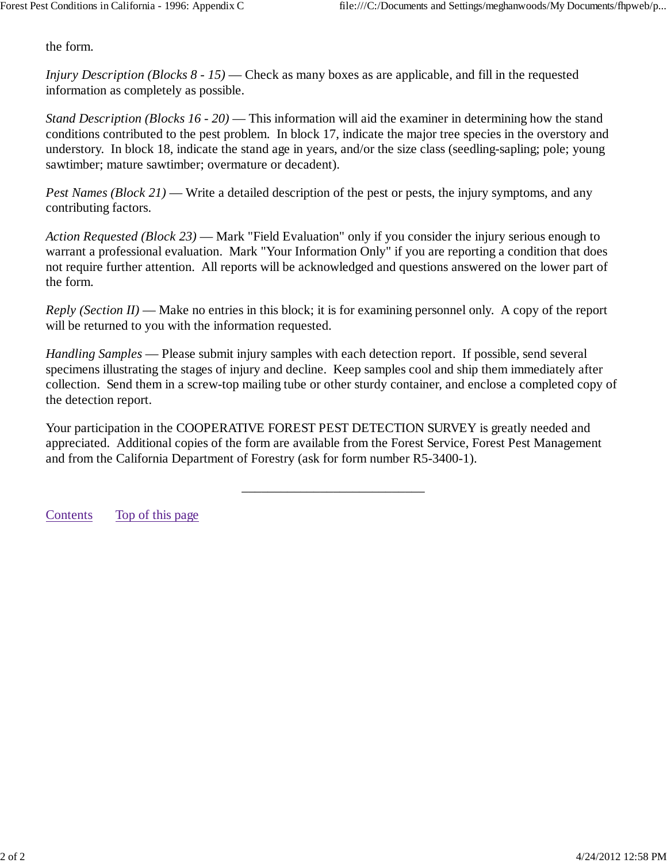the form.

*Injury Description (Blocks 8 - 15)* — Check as many boxes as are applicable, and fill in the requested information as completely as possible.

*Stand Description (Blocks 16 - 20)* — This information will aid the examiner in determining how the stand conditions contributed to the pest problem. In block 17, indicate the major tree species in the overstory and understory. In block 18, indicate the stand age in years, and/or the size class (seedling-sapling; pole; young sawtimber; mature sawtimber; overmature or decadent).

*Pest Names (Block 21)* — Write a detailed description of the pest or pests, the injury symptoms, and any contributing factors.

*Action Requested (Block 23)* — Mark "Field Evaluation" only if you consider the injury serious enough to warrant a professional evaluation. Mark "Your Information Only" if you are reporting a condition that does not require further attention. All reports will be acknowledged and questions answered on the lower part of the form.

*Reply (Section II)* — Make no entries in this block; it is for examining personnel only. A copy of the report will be returned to you with the information requested.

*Handling Samples* — Please submit injury samples with each detection report. If possible, send several specimens illustrating the stages of injury and decline. Keep samples cool and ship them immediately after collection. Send them in a screw-top mailing tube or other sturdy container, and enclose a completed copy of the detection report.

Your participation in the COOPERATIVE FOREST PEST DETECTION SURVEY is greatly needed and appreciated. Additional copies of the form are available from the Forest Service, Forest Pest Management and from the California Department of Forestry (ask for form number R5-3400-1).

\_\_\_\_\_\_\_\_\_\_\_\_\_\_\_\_\_\_\_\_\_\_\_\_\_\_\_\_

Contents Top of this page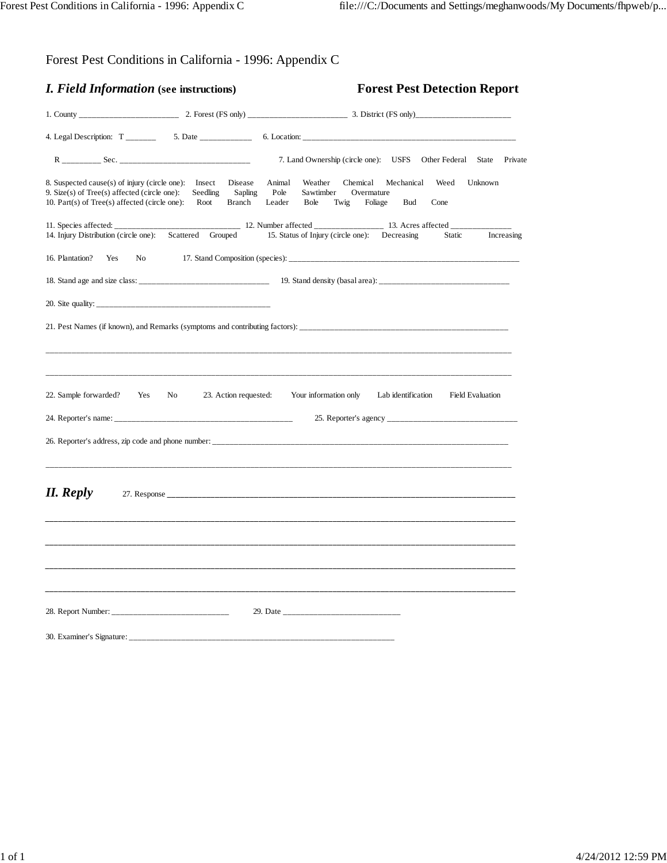|  | Forest Pest Conditions in California - 1996: Appendix C |  |
|--|---------------------------------------------------------|--|
|  |                                                         |  |

| <i>I. Field Information</i> (see instructions)                                                                                                            |                                                         | <b>Forest Pest Detection Report</b>                                                                                                                                 |  |
|-----------------------------------------------------------------------------------------------------------------------------------------------------------|---------------------------------------------------------|---------------------------------------------------------------------------------------------------------------------------------------------------------------------|--|
|                                                                                                                                                           |                                                         |                                                                                                                                                                     |  |
|                                                                                                                                                           | 4. Legal Description: $T_{\_$                           |                                                                                                                                                                     |  |
|                                                                                                                                                           |                                                         | 7. Land Ownership (circle one): USFS<br>Other Federal State<br>Private                                                                                              |  |
| 8. Suspected cause(s) of injury (circle one): Insect<br>9. Size(s) of $Tree(s)$ affected (circle one):<br>10. Part(s) of $Tree(s)$ affected (circle one): | Disease<br>Seedling<br>Sapling<br><b>Branch</b><br>Root | Animal<br>Weather<br>Chemical<br>Mechanical<br>Weed<br>Unknown<br>Pole<br>Overmature<br>Sawtimber<br>Leader<br><b>Bole</b><br>Twig<br>Foliage<br><b>Bud</b><br>Cone |  |
|                                                                                                                                                           |                                                         |                                                                                                                                                                     |  |
| 14. Injury Distribution (circle one): Scattered                                                                                                           | Grouped                                                 | 15. Status of Injury (circle one):<br>Decreasing<br>Static<br>Increasing                                                                                            |  |
| 16. Plantation?<br>Yes<br>No                                                                                                                              |                                                         |                                                                                                                                                                     |  |
|                                                                                                                                                           |                                                         |                                                                                                                                                                     |  |
|                                                                                                                                                           |                                                         |                                                                                                                                                                     |  |
| 22. Sample forwarded?<br>Yes                                                                                                                              | No<br>23. Action requested:                             | Your information only<br>Lab identification<br><b>Field Evaluation</b>                                                                                              |  |
|                                                                                                                                                           |                                                         |                                                                                                                                                                     |  |
| <b>II.</b> Reply                                                                                                                                          |                                                         |                                                                                                                                                                     |  |
| 30. Examiner's Signature:                                                                                                                                 |                                                         |                                                                                                                                                                     |  |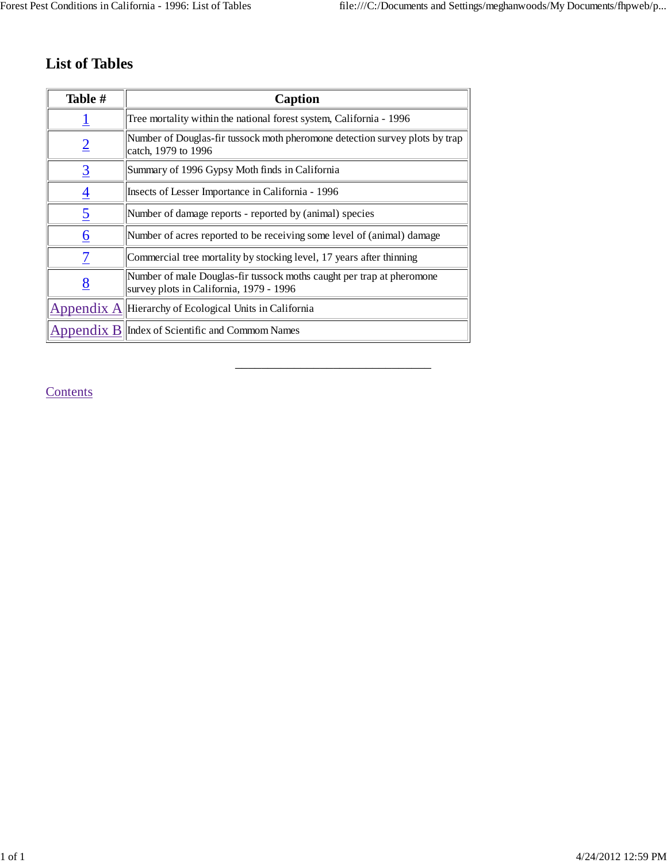# **List of Tables**

| Table #        | Caption                                                                                                          |
|----------------|------------------------------------------------------------------------------------------------------------------|
|                | Tree mortality within the national forest system, California - 1996                                              |
| $\overline{2}$ | Number of Douglas-fir tussock moth pheromone detection survey plots by trap<br>catch, 1979 to 1996               |
| $\overline{3}$ | Summary of 1996 Gypsy Moth finds in California                                                                   |
| $\overline{4}$ | Insects of Lesser Importance in California - 1996                                                                |
| $\overline{5}$ | Number of damage reports - reported by (animal) species                                                          |
| <u> 6</u>      | Number of acres reported to be receiving some level of (animal) damage                                           |
| 7              | Commercial tree mortality by stocking level, 17 years after thinning                                             |
| 8              | Number of male Douglas-fir tussock moths caught per trap at pheromone<br>survey plots in California, 1979 - 1996 |
|                | Appendix $A$ Hierarchy of Ecological Units in California                                                         |
|                | $\Delta$ pendix $\bf{B}$  Index of Scientific and Commom Names                                                   |

\_\_\_\_\_\_\_\_\_\_\_\_\_\_\_\_\_\_\_\_\_\_\_\_\_\_\_\_\_\_

**Contents**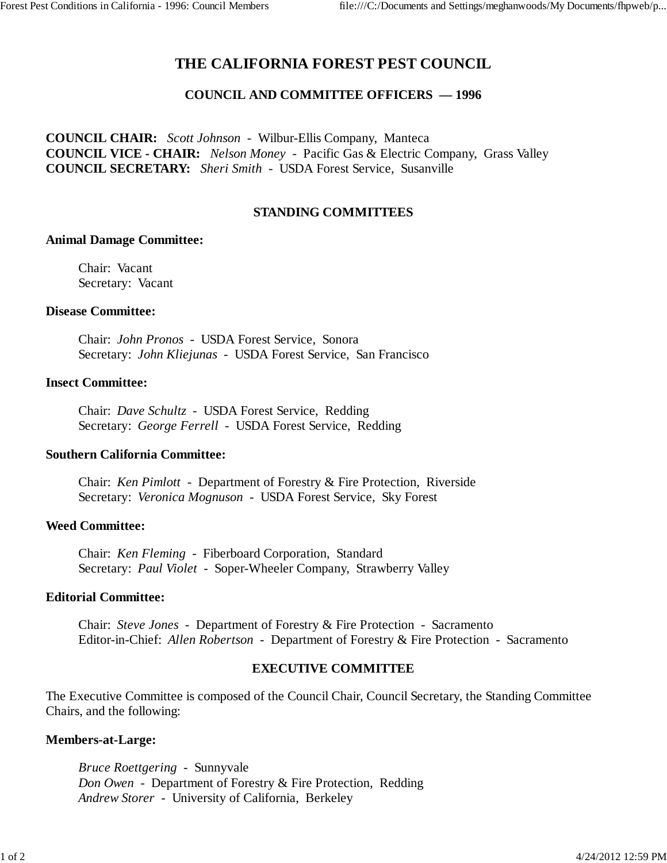## **THE CALIFORNIA FOREST PEST COUNCIL**

#### **COUNCIL AND COMMITTEE OFFICERS — 1996**

**COUNCIL CHAIR:** *Scott Johnson* - Wilbur-Ellis Company, Manteca **COUNCIL VICE - CHAIR:** *Nelson Money* - Pacific Gas & Electric Company, Grass Valley **COUNCIL SECRETARY:** *Sheri Smith* - USDA Forest Service, Susanville

#### **STANDING COMMITTEES**

#### **Animal Damage Committee:**

Chair: Vacant Secretary: Vacant

#### **Disease Committee:**

Chair: *John Pronos* - USDA Forest Service, Sonora Secretary: *John Kliejunas* - USDA Forest Service, San Francisco

#### **Insect Committee:**

Chair: *Dave Schultz* - USDA Forest Service, Redding Secretary: *George Ferrell* - USDA Forest Service, Redding

#### **Southern California Committee:**

Chair: *Ken Pimlott* - Department of Forestry & Fire Protection, Riverside Secretary: *Veronica Mognuson* - USDA Forest Service, Sky Forest

#### **Weed Committee:**

Chair: *Ken Fleming* - Fiberboard Corporation, Standard Secretary: *Paul Violet* - Soper-Wheeler Company, Strawberry Valley

#### **Editorial Committee:**

Chair: *Steve Jones* - Department of Forestry & Fire Protection - Sacramento Editor-in-Chief: *Allen Robertson* - Department of Forestry & Fire Protection - Sacramento

#### **EXECUTIVE COMMITTEE**

The Executive Committee is composed of the Council Chair, Council Secretary, the Standing Committee Chairs, and the following:

#### **Members-at-Large:**

*Bruce Roettgering* - Sunnyvale *Don Owen* - Department of Forestry & Fire Protection, Redding *Andrew Storer* - University of California, Berkeley